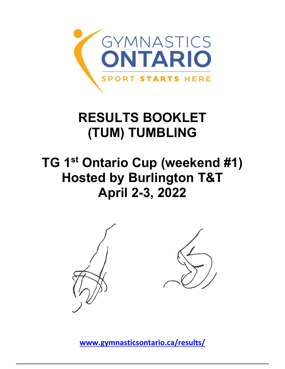

## **RESULTS BOOKLET (TUM) TUMBLING**

## **TG 1st Ontario Cup (weekend #1) Hosted by Burlington T&T April 2-3, 2022**



**[www.gymnasticsontario.ca/results/](https://www.gymnasticsontario.ca/results/)**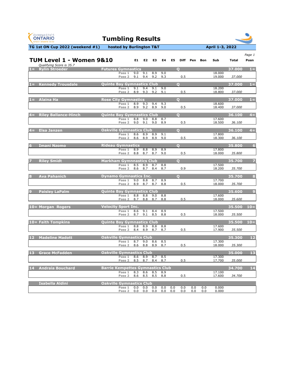| <b>GYMNASTICS</b><br><b>ONTARIO</b><br><b>SPORT STARTS HERE</b> | <b>Tumbling Results</b>           |                        |            |                 |            |                |             |     |            |                  |                |                |
|-----------------------------------------------------------------|-----------------------------------|------------------------|------------|-----------------|------------|----------------|-------------|-----|------------|------------------|----------------|----------------|
| TG 1st ON Cup 2022 (weekend #1)                                 | hosted by Burlington T&T          |                        |            |                 |            |                |             |     |            | April 1-3, 2022  |                |                |
| TUM Level 1 - Women 9&10<br>Qualifying Score is 35.7            |                                   | E1                     | E2         | E3              | E4         | E5             | <b>Diff</b> | Pen | <b>Bon</b> | Sub              | <b>Total</b>   | Page 1<br>Posn |
| <b>Rylin Stroeder</b><br>$1 =$                                  | <b>Futures Gymnastics</b>         |                        |            |                 |            | $\mathbf{O}$   |             |     |            |                  | 37.000         | $1 =$          |
|                                                                 | Pass 1<br>Pass 2                  | 9.0<br>9.1             | 9.1<br>9.4 | 8.9<br>9.2      | 9.0<br>9.3 |                | 0.5         |     |            | 18.000<br>19.000 | 37.000         |                |
| <b>Kennedy Trousdale</b><br>NЕ                                  | <b>Quinte Bay Gymnastics Club</b> |                        |            |                 |            | $\mathbf{o}$   |             |     |            |                  | 37.000         | $1 =$          |
|                                                                 | Pass 1<br>Pass <sub>2</sub>       | 9.1<br>8.9             | 9.4<br>9.3 | 9.1<br>9.2      | 9.0<br>9.1 |                | 0.5         |     |            | 18.200<br>18.800 | 37.000         |                |
| <b>Alaina Ha</b><br>NЕ                                          | <b>Rose City Gymnastics</b>       |                        |            |                 |            | $\Omega$       |             |     |            |                  | 37.000         | $1 =$          |
|                                                                 | Pass 1                            | 8.9                    | 9.3        | 9.4             | 9.3        |                |             |     |            | 18.600           |                |                |
|                                                                 | Pass 2                            | 8.9                    | 9.2        | 8.9             | 9.0        |                | 0.5         |     |            | 18.400           | 37.000         |                |
| <b>Riley Ballance-Hinch</b>                                     | <b>Quinte Bay Gymnastics Club</b> |                        |            |                 |            | $\mathbf O$    |             |     |            |                  | 36.100         | $4=$           |
|                                                                 | Pass 1<br>Pass 2                  | 8.8<br>9.0             | 9.0<br>9.1 | 8.8<br>9.0      | 8.7<br>8.9 |                | 0.5         |     |            | 17.600<br>18.500 | 36.100         |                |
| <b>Elsa Janzen</b>                                              | <b>Oakville Gymnastics Club</b>   |                        |            |                 |            | $\mathbf O$    |             |     |            |                  | 36.100         | $4 =$          |
|                                                                 | Pass 1<br>Pass 2                  | 8.6<br>8.6             | 8.9<br>8.9 | 8.9<br>8.9      | 9.1<br>9.0 |                | 0.5         |     |            | 17.800<br>18.300 | 36.100         |                |
| <b>Imani Nzomo</b><br>6                                         | <b>Rideau Gymnastics</b>          |                        |            |                 |            | $\Omega$       |             |     |            |                  | 35.800         | 6 <sup>1</sup> |
|                                                                 | Pass 1                            | 8.9                    | 8.8        | 8.9             | 8.9        |                |             |     |            | 17.800           |                |                |
|                                                                 | Pass <sub>2</sub>                 | 8.8                    | 8.7        | 8.7             | 9.0        |                | 0.5         |     |            | 18.000           | 35.800         |                |
| <b>Riley Smidt</b>                                              | <b>Markham Gymnnastics Club</b>   |                        |            |                 |            | $\overline{O}$ |             |     |            |                  | 35.700         | $\overline{z}$ |
|                                                                 | Pass 2                            | Pass 1 8.5 8.9 8.7 8.8 | 8.6 8.7    | 8.4             | 8.7        |                | 0.9         |     |            | 17.500<br>18.200 | 35.700         |                |
| 8<br><b>Ava Pahanich</b>                                        | <b>Dynamo Gymnastics Inc.</b>     |                        |            |                 |            | $\overline{O}$ |             |     |            |                  | 35.700         | 8              |
|                                                                 | Pass 1<br>Pass 2                  | 9.0<br>8.9             | 8.8<br>8.7 | 8.7<br>8.7      | 8.9<br>8.8 |                | 0.5         |     |            | 17.700<br>18.000 | 35.700         |                |
| <b>Paisley LaPalm</b><br>$\boldsymbol{9}$                       | <b>Quinte Bay Gymnastics Club</b> |                        |            |                 |            |                |             |     |            |                  | 35.600         | 9 <sup>°</sup> |
|                                                                 | Pass 1                            | 8.8                    | 8.8        | 9.0             | 8.8        |                |             |     |            | 17.600           |                |                |
|                                                                 | Pass 2                            | 8.7                    | 8.8        | 8.7             | 8.8        |                | 0.5         |     |            | 18.000           | 35.600         |                |
| 10= Morgan Rogers                                               | <b>Velocity Sport Inc.</b>        |                        |            |                 |            |                |             |     |            |                  | 35.500         | $10=$          |
|                                                                 | Pass 1<br>Pass 2                  | 8.6<br>8.7             | 9.1<br>9.1 | 8.4<br>8.5      | 8.9<br>8.8 |                | 0.5         |     |            | 17.500<br>18.000 | 35.500         |                |
| 10= Faith Tompkins                                              | <b>Quinte Bay Gymnastics Club</b> |                        |            |                 |            |                |             |     |            |                  | $35.500$ $10=$ |                |
|                                                                 | Pass 1                            | 8.8                    | 8.9        | 8.8             | 8.8        |                |             |     |            | 17.600           |                |                |
|                                                                 | Pass 2                            | 8.4                    | 8.9        | 8.7             | 8.7        |                | 0.5         |     |            | 17.900           | 35.500         |                |
| $12$<br><b>Madeline Madott</b>                                  | <b>Oakville Gymnastics Club</b>   |                        |            |                 |            |                |             |     |            | 17.300           | 35.300         | $12$           |
|                                                                 | Pass 1<br>Pass 2                  | 8.7<br>8.6             | 9.0<br>8.8 | 8.6<br>8.9      | 8.5<br>8.7 |                | 0.5         |     |            | 18.000           | 35.300         |                |
| 13<br><b>Grace McFadden</b>                                     | <b>Oakville Gymnastics Club</b>   |                        |            |                 |            |                |             |     |            |                  | 35.000         | 13             |
|                                                                 | Pass 1                            |                        |            | 8.6 8.9 8.7 8.5 |            |                |             |     |            | 17.300           |                |                |
|                                                                 | Pass 2                            | 8.5                    | 8.7        | 8.4             | 8.7        |                | 0.5         |     |            | 17.700           | 35.000         |                |

| 14 | <b>Andraia Bouchard</b> | <b>Barrie Kempettes Gymnastics Club</b> |     |            |     |   |        | 34.700 | 14 |
|----|-------------------------|-----------------------------------------|-----|------------|-----|---|--------|--------|----|
|    |                         | <b>Pass</b>                             | 8.3 | 8.6<br>8.5 | 8.9 |   | 17.100 |        |    |
|    |                         | Pass 2                                  | 8.6 | 8.5<br>8.5 | 8.8 | ິ | 17.600 | 34.700 |    |

| Isabella Aldini | <b>Oakville Gymnastics Club</b> |     |     |         |     |     |     |     |       |  |  |
|-----------------|---------------------------------|-----|-----|---------|-----|-----|-----|-----|-------|--|--|
|                 | 0.0<br><b>Pass</b>              | 0.0 | 0.0 | $0.0\,$ | 0.0 | 0.0 | 0.0 | 0.0 | 0.000 |  |  |
|                 | 0.0<br><b>Pass</b>              | 0.0 | 0.0 | 0.0     | 0.0 | 0.0 | 0.0 | 0.0 | 0.000 |  |  |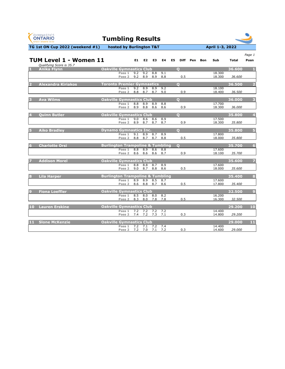| <b>GYMNASTICS</b><br><b>ONTARIO</b><br><b>SPORT STARTS HERE</b> | <b>Tumbling Results</b>                     |            |                          |                          |            |                |                         |          |            |                  |              |                 |
|-----------------------------------------------------------------|---------------------------------------------|------------|--------------------------|--------------------------|------------|----------------|-------------------------|----------|------------|------------------|--------------|-----------------|
| TG 1st ON Cup 2022 (weekend #1)                                 | hosted by Burlington T&T                    |            |                          |                          |            |                |                         |          |            | April 1-3, 2022  |              |                 |
| TUM Level 1 - Women 11                                          |                                             | E1         | E <sub>2</sub>           | E <sub>3</sub>           | E4         | E <sub>5</sub> |                         | Diff Pen | <b>Bon</b> | Sub              | <b>Total</b> | Page 1<br>Posn  |
| Qualifying Score is 35.7<br><b>Anika Flynn</b>                  | <b>Oakville Gymnastics Club</b>             |            |                          |                          |            |                | $\mathbf O$             |          |            |                  | 36.600       |                 |
|                                                                 | Pass 1<br>Pass 2                            | 9.2<br>9.2 | 9.2<br>8.9               | 8.8<br>8.9               | 9.1<br>8.8 |                | 0.5                     |          |            | 18.300<br>18.300 | 36.600       |                 |
| <b>Alexandra Kiriakos</b>                                       | <b>Toronto Premier Gymnastics</b>           |            |                          |                          |            |                | $\overline{\mathbf{o}}$ |          |            |                  | 36.500       | 2               |
|                                                                 | Pass 1<br>Pass 2                            | 9.2<br>8.8 | 8.9<br>8.7               | 8.9<br>8.7               | 9.2<br>9.0 |                | 0.9                     |          |            | 18.100<br>18.400 | 36.500       |                 |
| <b>Ava Wilms</b><br>B                                           | <b>Oakville Gymnastics Club</b>             |            |                          |                          |            |                | $\mathbf{O}$            |          |            |                  | 36.000       | 3               |
|                                                                 | Pass 1<br>Pass 2                            | 8.8<br>8.9 | 8.9<br>8.8               | 8.9<br>8.6               | 8.8<br>8.6 |                | 0.9                     |          |            | 17.700<br>18.300 | 36.000       |                 |
| <b>Quinn Butler</b>                                             | <b>Oakville Gymnastics Club</b>             |            |                          |                          |            |                | $\mathbf{O}$            |          |            |                  | 35.800       | 4               |
|                                                                 | Pass 1<br>Pass 2                            | 9.0<br>8.9 | 8.6<br>8.7               | 8.6<br>8.7               | 8.9<br>8.7 |                | 0.9                     |          |            | 17.500<br>18.300 | 35.800       |                 |
| <b>Aiko Bradley</b>                                             | <b>Dynamo Gymnastics Inc.</b>               |            |                          |                          |            |                | $\mathbf{O}$            |          |            |                  | 35.800       | 5               |
|                                                                 | Pass 1<br>Pass 2                            | 9.1<br>8.8 | 8.9<br>8.7               | 8.7<br>8.7               | 8.9<br>8.8 |                | 0.5                     |          |            | 17.800<br>18.000 | 35.800       |                 |
| <b>Charlotte Orsi</b><br>6                                      | <b>Burlington Trampoline &amp; Tumbling</b> |            |                          |                          |            |                | $\overline{O}$          |          |            |                  | 35.700       | $6\overline{6}$ |
|                                                                 | Pass 1<br>Pass 2                            | 8.8<br>8.6 | 8.9<br>8.6               | 8.6<br>8.6               | 8.8<br>8.7 |                | 0.9                     |          |            | 17.600<br>18.100 | 35.700       |                 |
| <b>Addison Morel</b>                                            | <b>Oakville Gymnastics Club</b>             |            |                          |                          |            |                |                         |          |            |                  | 35.600       | 7               |
|                                                                 | Pass 1<br>Pass 2                            | 9.0        | 8.8 8.8<br>8.7           | $8.7$ 8.9<br>8.8         | 8.6        |                | 0.5                     |          |            | 17.600<br>18.000 | 35.600       |                 |
| <b>Lila Harper</b><br>8                                         | <b>Burlington Trampoline &amp; Tumbling</b> |            |                          |                          |            |                |                         |          |            |                  | 35.400       | 8               |
|                                                                 | Pass 1<br>Pass 2                            | 8.9<br>8.6 | 8.9<br>8.8               | $8.5$ 8.7<br>8.7         | 8.6        |                | 0.5                     |          |            | 17.600<br>17.800 | 35.400       |                 |
| $\overline{9}$<br><b>Fiona Loeffler</b>                         | <b>Oakville Gymnastics Club</b>             |            |                          |                          |            |                |                         |          |            |                  | 32.500       | $\overline{9}$  |
|                                                                 | Pass 1<br>Pass 2                            | 8.5<br>8.3 | 8.0<br>8.0               | 8.0<br>7.8 7.8           | 8.2        |                | 0.5                     |          |            | 16.200<br>16.300 | 32.500       |                 |
| <b>Lauren Erskine</b><br>10                                     | <b>Oakville Gymnastics Club</b>             |            |                          |                          |            |                |                         |          |            |                  | 29.200       | 10              |
|                                                                 | Pass 1<br>Pass 2                            | 7.4        | $7.2$ $7.2$ $7.2$<br>7.2 | 7.3                      | 7.2<br>7.1 |                | 0.3                     |          |            | 14.400<br>14.800 | 29.200       |                 |
| 11<br><b>Slone McKenzie</b>                                     | <b>Oakville Gymnastics Club</b>             |            |                          |                          |            |                |                         |          |            |                  | 29.000       | 11              |
|                                                                 | Pass 1<br>Pass 2                            |            | $\overline{7.2}$ 7.1     | $7.2$ 7.4<br>7.2 7.0 7.1 | 7.2        |                | 0.3                     |          |            | 14.400<br>14.600 | 29.000       |                 |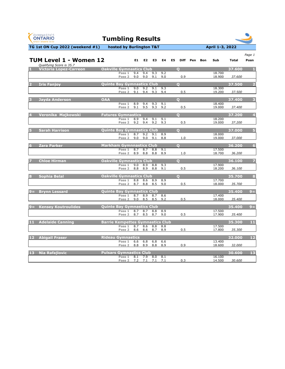| <b>GYMNASTICS</b><br><b>ONTARIO</b><br><b>SPORT STARTS HERE</b>          | <b>Tumbling Results</b>                          |                    |            |            |                               |                   |                  |              |                         |
|--------------------------------------------------------------------------|--------------------------------------------------|--------------------|------------|------------|-------------------------------|-------------------|------------------|--------------|-------------------------|
| TG 1st ON Cup 2022 (weekend #1)                                          | hosted by Burlington T&T                         |                    |            |            |                               |                   | April 1-3, 2022  |              |                         |
| TUM Level 1 - Women 12<br>Qualifying Score is 35.7                       |                                                  | E1<br>E2           | E3         | E4         | E <sub>5</sub><br><b>Diff</b> | Pen<br><b>Bon</b> | Sub              | <b>Total</b> | Page 1<br>Posn          |
| <b>Oakville Gymnastics Club</b><br><b>Victoria Lopez-Carreon</b>         |                                                  |                    |            |            | $\mathbf{O}$                  |                   |                  | 37.600       |                         |
|                                                                          | 9.4<br>Pass 1<br>9.0<br>Pass 2                   | 9.4<br>9.0         | 9.3<br>9.1 | 9.2<br>9.0 | 0.9                           |                   | 18.700<br>18.900 | 37.600       |                         |
| <b>Iris Fanjoy</b><br>D                                                  | <b>Quinte Bay Gymnastics Club</b>                |                    |            |            | $\overline{O}$                |                   |                  | 37.500       | $\overline{2}$          |
|                                                                          | 9.0<br>Pass 1<br>9.1<br>Pass 2                   | 9.2<br>9.4         | 9.1<br>9.3 | 9.3<br>9.4 | 0.5                           |                   | 18.300<br>19.200 | 37.500       |                         |
|                                                                          |                                                  |                    |            |            |                               |                   |                  |              |                         |
| <b>OAA</b><br><b>Jayda Anderson</b><br>13                                | 8.9<br>Pass 1                                    | 9.4                | 9.3        | 9.1        | $\overline{O}$                |                   | 18.400           | 37.400       | $\overline{\mathbf{3}}$ |
|                                                                          | 9.1<br>Pass <sub>2</sub>                         | 9.5                | 9.3        | 9.2        | 0.5                           |                   | 19.000           | 37.400       |                         |
| Veronika Majkowski                                                       | <b>Futures Gymnastics</b>                        |                    |            |            | $\overline{O}$                |                   |                  | 37.200       | $\overline{\mathbf{4}}$ |
|                                                                          | 8.9<br>Pass 1                                    | 9.4                | 9.1        | 9.1        |                               |                   | 18.200           |              |                         |
|                                                                          | 9.2<br>Pass 2                                    | 9.4                | 9.2        | 9.3        | 0.5                           |                   | 19.000           | 37.200       |                         |
| <b>Sarah Harrison</b><br>5                                               | <b>Quinte Bay Gymnastics Club</b>                |                    |            |            | $\overline{O}$                |                   |                  | 37.000       | 5 <sup>1</sup>          |
|                                                                          | Pass 1<br>8.7<br>9.0<br>Pass <sub>2</sub>        | 9.2<br>9.0         | 9.1<br>9.1 | 8.9<br>8.8 | 1.0                           |                   | 18.000<br>19.000 | 37.000       |                         |
|                                                                          |                                                  |                    |            |            |                               |                   |                  |              |                         |
| <b>Zara Parker</b><br>6                                                  | <b>Markham Gymnnastics Club</b><br>8.7<br>Pass 1 | 8.7                | 8.8        | 9.1        | $\overline{O}$                |                   | 17.500           | 36.200       | 6 <sup>1</sup>          |
|                                                                          | 8.9<br>Pass 2                                    | 8.8                | 8.8        | 8.9        | 1.0                           |                   | 18.700           | 36.200       |                         |
| <b>Oakville Gymnastics Club</b><br><b>Chloe Hirman</b>                   |                                                  |                    |            |            | $\mathbf O$                   |                   |                  | 36.100       | $\overline{7}$          |
|                                                                          | Pass 1                                           | 9.0 8.9            |            | 8.8 9.3    |                               |                   | 17.900           |              |                         |
|                                                                          | Pass 2                                           | 8.8 8.9            | 8.8        | 9.1        | 0.5                           |                   | 18.200           | 36.100       |                         |
| <b>Oakville Gymnastics Club</b><br><b>Sophia Belal</b><br>8              |                                                  |                    |            |            | $\overline{Q}$                |                   |                  | 35.700       | $\overline{\mathbf{8}}$ |
|                                                                          | Pass 1<br>8.7<br>Pass 2                          | 8.8 8.6 8.9<br>8.8 | 8.5        | 8.9<br>9.0 | 0.5                           |                   | 17.700<br>18.000 | 35.700       |                         |
|                                                                          |                                                  |                    |            |            |                               |                   |                  |              |                         |
| <b>Brynn Lessard</b><br>$9 =$                                            | <b>Quinte Bay Gymnastics Club</b><br>Pass 1      | 8.7 8.9            | 8.7        | 8.6        |                               |                   | 17.400           | 35.400       | $9 =$                   |
|                                                                          | Pass 2                                           | 9.0<br>8.5         | 8.5        | 9.2        | 0.5                           |                   | 18.000           | 35.400       |                         |
| <b>Quinte Bay Gymnastics Club</b><br><b>Kensey Koutroulides</b><br>$9 =$ |                                                  |                    |            |            |                               |                   |                  | 35.400       | $9 =$                   |
|                                                                          | Pass 1                                           | 8.7 8.7 8.8        |            | 8.9        |                               |                   | 17.500           |              |                         |
|                                                                          | Pass 2                                           | 8.7<br>8.5         | 8.7        | 9.0        | 0.5                           |                   | 17.900           | 35.400       |                         |
| <b>Adelaide Canning</b><br>11                                            | <b>Barrie Kempettes Gymnastics Club</b>          |                    |            |            |                               |                   |                  | 35.300       | 11                      |
|                                                                          | Pass 1<br>Pass 2 8.6                             | 8.7 8.6<br>8.6     | 8.8<br>8.7 | 8.8<br>8.9 | 0.5                           |                   | 17.500<br>17.800 | 35.300       |                         |
| <b>12</b><br><b>Abigail Fraser</b>                                       | <b>Rideau Gymnastics</b>                         |                    |            |            |                               |                   |                  | 32.000       | $12$                    |
|                                                                          | Pass 1<br>6.6                                    | 6.8                | 6.8        | 6.6        |                               |                   | 13.400           |              |                         |
|                                                                          | Pass 2<br>8.8                                    | 8.9                | 8.8        | 8.9        | 0.9                           |                   | 18.600           | 32.000       |                         |
| <b>Nia Rafajlovic</b><br><b>13</b>                                       | <b>Pulsars Gymnastics Club</b>                   |                    |            |            |                               |                   |                  | 30.600       | 13                      |
|                                                                          | Pass 1<br>Pass 2 7.2 7.1 7.1                     | 8.1 7.9            | 8.0        | 8.1<br>7.1 | 0.3                           |                   | 16.100<br>14.500 | 30.600       |                         |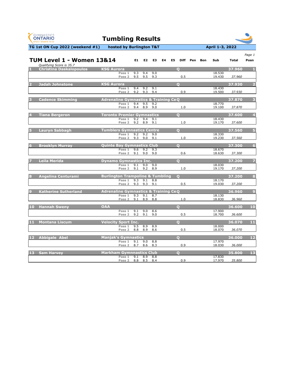| <b>GYMNASTICS</b><br><b>ONTARIO</b><br><b>SPORT STARTS HERE</b>  | <b>Tumbling Results</b>                         |            |                                  |                |    |                |                |     |            |                  |              |                |
|------------------------------------------------------------------|-------------------------------------------------|------------|----------------------------------|----------------|----|----------------|----------------|-----|------------|------------------|--------------|----------------|
| TG 1st ON Cup 2022 (weekend #1)                                  | hosted by Burlington T&T                        |            |                                  |                |    |                |                |     |            | April 1-3, 2022  |              |                |
| <b>TUM Level 1 - Women 13&amp;14</b><br>Qualifying Score is 35.7 |                                                 | E1         | E2                               | E <sub>3</sub> | E4 | E <sub>5</sub> | <b>Diff</b>    | Pen | <b>Bon</b> | Sub              | <b>Total</b> | Page 1<br>Posn |
| <b>Christina Daskalopoulos</b>                                   | <b>KSG Aurora</b>                               |            |                                  |                |    |                | $\mathbf O$    |     |            |                  | 37.960       | F.             |
|                                                                  | Pass 1<br>Pass 2                                | 9.3<br>9.5 | 9.4<br>9.5                       | 9.0<br>9.3     |    |                | 0.5            |     |            | 18.530<br>19.430 | 37.960       |                |
| <b>Jadah Johnstone</b>                                           | <b>KSG Aurora</b>                               |            |                                  |                |    |                | $\bullet$      |     |            |                  | 37.930       | $\overline{2}$ |
|                                                                  | Pass 1<br>Pass 2                                | 9.4<br>9.2 | 9.2<br>9.3                       | 9.1<br>9.4     |    |                | 0.9            |     |            | 18.430<br>19.500 | 37.930       |                |
| <b>Cadence Skimming</b>                                          | <b>Adrenaline Gymnastics &amp; Training CeQ</b> |            |                                  |                |    |                |                |     |            |                  | 37.870       | 3              |
|                                                                  | Pass 1<br>Pass 2                                | 9.4<br>9.4 | 9.5<br>8.9                       | 9.2<br>9.0     |    |                | 1.0            |     |            | 18.770<br>19.100 | 37.870       |                |
| <b>Tiana Bergeron</b>                                            | <b>Toronto Premier Gymnastics</b>               |            |                                  |                |    |                | $\overline{O}$ |     |            |                  | 37.600       | 4              |
|                                                                  | Pass 1<br>Pass <sub>2</sub>                     | 9.2<br>9.2 | 9.4<br>8.9                       | 9.1<br>9.1     |    |                | 1.0            |     |            | 18.430<br>19.170 | 37.600       |                |
| <b>Lauryn Sabbagh</b>                                            | <b>Tumblers Gymnastics Centre</b>               |            |                                  |                |    |                | $\overline{Q}$ |     |            |                  | 37.560       | $\overline{5}$ |
|                                                                  | Pass 1<br>Pass 2                                | 9.3        | $9.2$ $9.2$<br>9.0               | 9.0<br>9.1     |    |                | 1.0            |     |            | 18.330<br>19.230 | 37.560       |                |
| <b>Brooklyn Murray</b><br>6                                      | <b>Quinte Bay Gymnastics Club</b>               |            |                                  |                |    |                | $\Omega$       |     |            |                  | 37.300       | $6\phantom{a}$ |
|                                                                  | Pass 1<br>Pass <sub>2</sub>                     | 9.6<br>9.1 | 9.2<br>9.0                       | 9.3<br>9.0     |    |                | 0.6            |     |            | 18.670<br>18.630 | 37.300       |                |
| <b>Leila Merida</b>                                              | <b>Dynamo Gymnastics Inc.</b>                   |            |                                  |                |    |                | $\overline{Q}$ |     |            |                  | 37.200       | $\overline{7}$ |
|                                                                  | Pass 1<br>Pass 2                                |            | $9.1$ $9.0$ $9.0$<br>$9.1$ $9.2$ | 8.9            |    |                | 1.0            |     |            | 18.030<br>19.170 | 37.200       |                |
| <b>Angelina Centurami</b><br>8                                   | <b>Burlington Trampoline &amp; Tumbling</b>     |            |                                  |                |    |                | $\overline{O}$ |     |            |                  | 37.200       | 8              |
|                                                                  | Pass 1<br>Pass 2                                |            | $9.3$ $9.1$<br>9.3 9.3 9.1       | 8.8            |    |                | 0.5            |     |            | 18.170<br>19.030 | 37.200       |                |
| <b>Katherine Sutherland</b><br>o                                 | <b>Adrenaline Gymnastics &amp; Training CeQ</b> |            |                                  |                |    |                |                |     |            |                  | 36.960       | $\overline{9}$ |
|                                                                  | Pass 1<br>Pass 2                                | 9.1        | $9.3$ $9.1$<br>8.9               | 8.7<br>8.8     |    |                | 1.0            |     |            | 18.130<br>18.830 | 36.960       |                |
| <b>Hannah Sweny</b><br>10                                        | <b>OAA</b>                                      |            |                                  |                |    |                | Q              |     |            |                  | 36.600       | 10             |
|                                                                  | Pass 1<br>Pass <sub>2</sub>                     | 9.1<br>9.2 | 9.0<br>9.1                       | 8.6<br>9.0     |    |                | 0.5            |     |            | 17.900<br>18.700 | 36.600       |                |
| 11<br><b>Montana Liscum</b>                                      | <b>Velocity Sport Inc.</b>                      |            |                                  |                |    |                | $\bullet$      |     |            |                  | 36.070       | 11             |
|                                                                  | Pass 1<br>Pass <sub>2</sub>                     | 9.5<br>8.8 | 8.9<br>8.9                       | 8.9<br>8.6     |    |                | 0.5            |     |            | 18.000<br>18.070 | 36.070       |                |
| 12<br><b>Abbigale Abel</b>                                       | <b>Manjak's Gymnastics</b>                      |            |                                  |                |    |                | $\overline{O}$ |     |            |                  | 36.000       | $\mathbf{12}$  |
|                                                                  | Pass 1<br>Pass 2                                | 9.1<br>8.7 | 9.0<br>8.6                       | 8.8<br>8.3     |    |                | 0.9            |     |            | 17.970<br>18.030 | 36.000       |                |
| 13<br><b>Sam Harvey</b>                                          | <b>Markham Gymnnastics Club</b>                 |            |                                  |                |    |                | $\overline{O}$ |     |            |                  | 35.800       | 13             |
|                                                                  | Pass 1<br>Pass 2                                |            | 9.1 8.9<br>8.8 8.5               | 8.8<br>8.4     |    |                | 0.9            |     |            | 17.830<br>17.970 | 35.800       |                |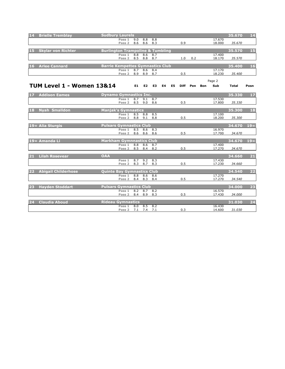| 14        | <b>Brielle Tremblay</b>              | <b>Sudbury Laurels</b>                      |                   |                  |     |           |    |    |             |     |            |        | 35.670       | 14    |
|-----------|--------------------------------------|---------------------------------------------|-------------------|------------------|-----|-----------|----|----|-------------|-----|------------|--------|--------------|-------|
|           |                                      |                                             | Pass 1            | 9.0              | 8.8 | 8.8       |    |    |             |     |            | 17.670 |              |       |
|           |                                      |                                             | Pass 2            | 8.6              | 8.6 | 8.3       |    |    | 0.9         |     |            | 18.000 | 35.670       |       |
|           |                                      |                                             |                   |                  |     |           |    |    |             |     |            |        |              |       |
|           |                                      |                                             |                   |                  |     |           |    |    |             |     |            |        |              |       |
| <b>15</b> | <b>Skylar von Richter</b>            | <b>Burlington Trampoline &amp; Tumbling</b> |                   |                  |     |           |    |    |             |     |            |        | 35.570       | 15    |
|           |                                      |                                             | Pass 1            | 8.8              | 8.6 | 8.7       |    |    |             |     |            | 17.400 |              |       |
|           |                                      |                                             | Pass 2            | 8.5              | 8.8 | 8.7       |    |    | 1.0         | 0.2 |            | 18.170 | 35.570       |       |
|           |                                      |                                             |                   |                  |     |           |    |    |             |     |            |        |              |       |
|           |                                      |                                             |                   |                  |     |           |    |    |             |     |            |        |              |       |
| <b>16</b> | <b>Arlee Cannard</b>                 | <b>Barrie Kempettes Gymnastics Club</b>     |                   |                  |     |           |    |    |             |     |            |        | 35.400       | 16    |
|           |                                      |                                             | Pass 1            | 8.7              | 8.6 | 8.4       |    |    |             |     |            | 17.170 |              |       |
|           |                                      |                                             | Pass 2            | 8.9              | 8.9 | 8.7       |    |    | 0.5         |     |            | 18.230 | 35.400       |       |
|           |                                      |                                             |                   |                  |     |           |    |    |             |     |            |        |              |       |
|           |                                      |                                             |                   |                  |     |           |    |    |             |     |            |        |              |       |
|           |                                      |                                             |                   |                  |     |           |    |    |             |     |            | Page 2 |              |       |
|           | <b>TUM Level 1 - Women 13&amp;14</b> |                                             |                   | E1               | E2  | <b>E3</b> | E4 | E5 | <b>Diff</b> | Pen | <b>Bon</b> | Sub    | <b>Total</b> | Posn  |
|           |                                      |                                             |                   |                  |     |           |    |    |             |     |            |        |              |       |
|           |                                      |                                             |                   |                  |     |           |    |    |             |     |            |        |              |       |
| <b>17</b> | <b>Addison Eames</b>                 | <b>Dynamo Gymnastics Inc.</b>               |                   |                  |     |           |    |    |             |     |            |        | 35.330       | $17$  |
|           |                                      |                                             |                   |                  |     |           |    |    |             |     |            |        |              |       |
|           |                                      |                                             | Pass 1            | 8.7              | 9.1 | 8.7       |    |    |             |     |            | 17.530 |              |       |
|           |                                      |                                             | Pass 2 8.5 9.0    |                  |     | 8.6       |    |    | 0.5         |     |            | 17.800 | 35.330       |       |
|           |                                      |                                             |                   |                  |     |           |    |    |             |     |            |        |              |       |
| 18        | <b>Nyah Smalldon</b>                 | <b>Manjak's Gymnastics</b>                  |                   |                  |     |           |    |    |             |     |            |        | 35.300       | 18    |
|           |                                      |                                             |                   |                  |     |           |    |    |             |     |            |        |              |       |
|           |                                      |                                             | Pass 1            | 8.5              | 8.8 | 8.5       |    |    |             |     |            | 17.100 |              |       |
|           |                                      |                                             | Pass 2            | 8.8              | 9.1 | 8.8       |    |    | 0.5         |     |            | 18.200 | 35.300       |       |
|           |                                      |                                             |                   |                  |     |           |    |    |             |     |            |        |              |       |
|           | 19 = Alia Sturgis                    | <b>Pulsars Gymnastics Club</b>              |                   |                  |     |           |    |    |             |     |            |        | 34.670       | $19=$ |
|           |                                      |                                             |                   |                  |     |           |    |    |             |     |            |        |              |       |
|           |                                      |                                             | Pass 1            | 8.5              | 8.6 | 8.3       |    |    |             |     |            | 16.970 |              |       |
|           |                                      |                                             | Pass 2            | 8.6              | 8.6 | 8.6       |    |    | 0.5         |     |            | 17.700 | 34.670       |       |
|           |                                      |                                             |                   |                  |     |           |    |    |             |     |            |        |              |       |
|           | 19 = Amanda Li                       | <b>Markham Gymnnastics Club</b>             |                   |                  |     |           |    |    |             |     |            |        | 34.670       | $19=$ |
|           |                                      |                                             |                   |                  |     |           |    |    |             |     |            |        |              |       |
|           |                                      |                                             | Pass 1            | 8.8              | 8.6 | 8.7       |    |    |             |     |            | 17.400 |              |       |
|           |                                      |                                             | Pass 2            | 8.5              | 8.4 | 8.2       |    |    | 0.5         |     |            | 17.270 | 34.670       |       |
|           |                                      |                                             |                   |                  |     |           |    |    |             |     |            |        |              |       |
| 21        | <b>Lilah Rosevear</b>                | <b>OAA</b>                                  |                   |                  |     |           |    |    |             |     |            |        | 34.660       | 21    |
|           |                                      |                                             |                   |                  |     |           |    |    |             |     |            |        |              |       |
|           |                                      |                                             | Pass 1            | 8.7              | 9.2 | 8.3       |    |    |             |     |            | 17.430 |              |       |
|           |                                      |                                             | Pass 2            | 8.3              | 8.7 | 8.3       |    |    | 0.5         |     |            | 17.230 | 34.660       |       |
|           |                                      |                                             |                   |                  |     |           |    |    |             |     |            |        |              |       |
| 22        | <b>Abigail Childerhose</b>           | <b>Quinte Bay Gymnastics Club</b>           |                   |                  |     |           |    |    |             |     |            |        | 34.540       | 22    |
|           |                                      |                                             |                   |                  |     |           |    |    |             |     |            |        |              |       |
|           |                                      |                                             | Pass 1            | 8.8              | 8.6 | 8.6       |    |    |             |     |            | 17.270 |              |       |
|           |                                      |                                             | Pass 2            | 8.4              | 8.3 | 8.4       |    |    | 0.5         |     |            | 17.270 | 34.540       |       |
|           |                                      |                                             |                   |                  |     |           |    |    |             |     |            |        |              |       |
| 23        | <b>Hayden Stoddart</b>               | <b>Pulsars Gymnastics Club</b>              |                   |                  |     |           |    |    |             |     |            |        | 34.000       | 23    |
|           |                                      |                                             | Pass 1            | $\overline{8.2}$ |     |           |    |    |             |     |            | 16.570 |              |       |
|           |                                      |                                             |                   |                  | 8.7 | 8.2       |    |    |             |     |            |        |              |       |
|           |                                      |                                             | Pass <sub>2</sub> | 8.4              | 8.9 | 8.3       |    |    | 0.5         |     |            | 17.430 | 34.000       |       |
|           |                                      |                                             |                   |                  |     |           |    |    |             |     |            |        |              |       |
| 24        | <b>Claudia Aboud</b>                 | <b>Rideau Gymnastics</b>                    |                   |                  |     |           |    |    |             |     |            |        | 31.030       | $24$  |
|           |                                      |                                             |                   |                  |     |           |    |    |             |     |            |        |              |       |
|           |                                      |                                             | Pass 1            | 8.0              | 8.5 | 8.2       |    |    |             |     |            | 16.430 |              |       |
|           |                                      |                                             | Pass 2            | 7.1              | 7.4 | 7.1       |    |    | 0.3         |     |            | 14.600 | 31.030       |       |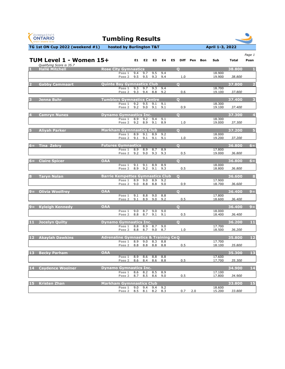| <b>GYMNASTICS</b><br><b>ONTARIO</b><br><b>SPORT STARTS HERE</b> | <b>Tumbling Results</b>                         |                                           |                        |                        |                |                               |                   |                  |              |                         |
|-----------------------------------------------------------------|-------------------------------------------------|-------------------------------------------|------------------------|------------------------|----------------|-------------------------------|-------------------|------------------|--------------|-------------------------|
| TG 1st ON Cup 2022 (weekend #1)                                 |                                                 | hosted by Burlington T&T                  |                        |                        |                |                               |                   | April 1-3, 2022  |              |                         |
| TUM Level 1 - Women 15+<br>Qualifying Score is 35.7             |                                                 | E1                                        | E2                     | E3                     | E4             | E <sub>5</sub><br><b>Diff</b> | Pen<br><b>Bon</b> | Sub              | <b>Total</b> | Page 1<br>Posn          |
| <b>Hallé Mitchell</b><br>И.                                     | <b>Rose City Gymnastics</b>                     | 9.4<br>Pass 1                             | 9.7                    | 9.5                    | 9.4            | $\mathbf{O}$                  |                   | 18.900           | 38,800       |                         |
|                                                                 |                                                 | 9.5<br>Pass <sub>2</sub>                  | 9.5                    | 9.3                    | 9.4            | 1.0                           |                   | 19.900           | 38.800       |                         |
| <b>Gabby Cammaart</b><br>2                                      | <b>Quinte Bay Gymnastics Club</b>               |                                           |                        |                        |                | $\overline{\mathbf{o}}$       |                   |                  | 37.800       | $\overline{2}$          |
|                                                                 |                                                 | 9.3<br>Pass 1<br>9.3<br>Pass 2            | 9.7<br>9.4             | 9.3<br>8.8             | 9.4<br>9.2     | 0.6                           |                   | 18,700<br>19.100 | 37.800       |                         |
| Jenna Buhr<br>3                                                 | <b>Tumblers Gymnastics Centre</b>               |                                           |                        |                        |                | $\overline{O}$                |                   |                  | 37.400       | $\overline{\mathbf{3}}$ |
|                                                                 |                                                 | 9.2<br>Pass 1<br>Pass <sub>2</sub><br>9.2 | 9.5<br>9.0             | 9.1<br>9.1             | 9.1<br>9.1     | 0.9                           |                   | 18.300<br>19.100 | 37.400       |                         |
| <b>Camryn Nunes</b>                                             | <b>Dynamo Gymnastics Inc.</b>                   |                                           |                        |                        |                | $\overline{O}$                |                   |                  | 37.300       | $\overline{\mathbf{4}}$ |
|                                                                 |                                                 | 8.9<br>Pass 1<br>9.2<br>Pass 2            | 9.2<br>8.9             | 9.4<br>9.1             | 9.1<br>8.9     | 1.0                           |                   | 18.300<br>19.000 | 37.300       |                         |
|                                                                 |                                                 |                                           |                        |                        |                |                               |                   |                  |              |                         |
| <b>Aliyah Parker</b>                                            | <b>Markham Gymnnastics Club</b>                 | 8.9<br>Pass 1                             | 9.1                    | 8.9                    | 9.2            | $\overline{\mathbf{o}}$       |                   | 18.000           | 37.200       | 5 <sub>1</sub>          |
|                                                                 |                                                 | Pass <sub>2</sub><br>9.1                  | 9.1                    | 9.1                    | 9.1            | 1.0                           |                   | 19.200           | 37.200       |                         |
| <b>Tina Zekry</b><br>$6=$                                       | <b>Futures Gymnastics</b>                       | 8.9<br>Pass 1                             | 8.9                    | 8.7                    | 8.9            | $\mathbf{o}$                  |                   | 17.800           | 36.800       | $6=$                    |
|                                                                 |                                                 | 9.2<br>Pass 2                             | 9.0                    | 9.3                    | 9.3            | 0.5                           |                   | 19.000           | 36.800       |                         |
| <b>Claire Spicer</b><br>$6=$                                    | <b>OAA</b>                                      |                                           |                        |                        |                | $\bf{O}$                      |                   |                  | 36.800       | $6=$                    |
|                                                                 |                                                 | Pass 1<br>Pass 2<br>8.9                   | 9.1 9.1 8.9 8.9<br>9.2 | 9.1                    | 9.3            | 0.5                           |                   | 18.000<br>18.800 | 36.800       |                         |
| 8<br><b>Taryn Nolan</b>                                         | <b>Barrie Kempettes Gymnastics Club</b>         |                                           |                        |                        |                | $\bullet$                     |                   |                  | 36.600       | 8                       |
|                                                                 |                                                 | Pass 1<br>8.9<br>9.0<br>Pass <sub>2</sub> | 9.0<br>8.8             | 8.8                    | 8.9 9.2<br>9.0 | 0.9                           |                   | 17.900<br>18.700 | 36.600       |                         |
| <b>Olivia Woolfrey</b><br>$9 =$                                 | <b>OAA</b>                                      |                                           |                        |                        |                | $\overline{O}$                |                   |                  | 36.400       | $9 =$                   |
|                                                                 |                                                 | 9.1<br>Pass 1<br>9.1<br>Pass 2            | 8.8<br>8.9             | 9.0<br>9.0             | 8.8            | 0.5                           |                   | 17.800<br>18.600 | 36.400       |                         |
|                                                                 |                                                 |                                           |                        |                        | 9.2            |                               |                   |                  |              |                         |
| <b>Kyleigh Kennedy</b><br>$9 =$                                 | <b>OAA</b>                                      | Pass 1<br>9.0                             | $\overline{8.7}$       | $\overline{9.0}$       | 9.0            | $\overline{Q}$                |                   | 18.000           | 36.400       | $9 =$                   |
|                                                                 |                                                 | 8.8<br>Pass 2                             | 8.7                    | 9.1                    | 9.1            | 0.5                           |                   | 18.400           | 36.400       |                         |
| Jocelyn Quilty<br>11                                            | <b>Dynamo Gymnastics Inc.</b>                   | Pass 1                                    | 8.8 8.9                | 8.7                    | 9.0            | $\overline{\mathbf{Q}}$       |                   | 17.700           | 36.200       | 11                      |
|                                                                 |                                                 | 8.8<br>Pass 2                             | 8.7                    | 9.0                    | 8.7            | 1.0                           |                   | 18.500           | 36.200       |                         |
| 12<br><b>Akaylah Dawkins</b>                                    | <b>Adrenaline Gymnastics &amp; Training CeQ</b> |                                           |                        |                        |                |                               |                   |                  | 35.800       | 12                      |
|                                                                 |                                                 | 8.9<br>Pass 1<br>Pass 2<br>8.8            | 9.0<br>8.8             | 8.3<br>8.8             | 8.8<br>8.8     | 0.5                           |                   | 17.700<br>18.100 | 35.800       |                         |
| 13<br><b>Becky Parham</b>                                       | <b>OAA</b>                                      |                                           |                        |                        |                |                               |                   |                  | 35.300       | 13                      |
|                                                                 |                                                 | 8.9<br>Pass 1<br>Pass 2                   | 8.6                    | 8.8<br>8.6 8.4 8.6 8.8 | 8.8            | 0.5                           |                   | 17.600<br>17.700 | 35.300       |                         |

**14 Caydence Woolner 34.900 14**

**Pass 2** 8.5 8.1 8.2 8.3 0.7 2.0 15.200 *33.800*

| $ 14\rangle$ | l Cavdence Woolner <sup>1</sup> | <b>Dynamo Gymnastics Inc.</b>                  | <b>34.900</b>    |  |
|--------------|---------------------------------|------------------------------------------------|------------------|--|
|              |                                 | Pass 1 8.6 8.2 8.5 8.9                         | 17.100           |  |
|              |                                 | Pass 2 8.7 8.5 8.6 9.0                         | 17.800<br>34.900 |  |
|              |                                 |                                                |                  |  |
|              | 15 Kristen Zhan                 | Markham Gymnnastics Club                       | 33.800           |  |
|              |                                 | 94<br>9.N<br>$Q_4$<br>$\overline{9}$<br>Pass 1 | 18.600           |  |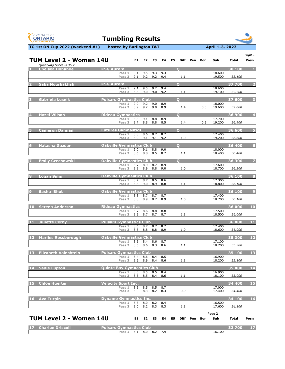| <b>GYMNASTICS</b><br><b>ONTARIO</b><br><b>SPORT STARTS HERE</b> | <b>Tumbling Results</b>                                |            |             |                |                |                   |     |            |                  |              |                                   |
|-----------------------------------------------------------------|--------------------------------------------------------|------------|-------------|----------------|----------------|-------------------|-----|------------|------------------|--------------|-----------------------------------|
| TG 1st ON Cup 2022 (weekend #1)                                 | hosted by Burlington T&T                               |            |             |                |                |                   |     |            | April 1-3, 2022  |              |                                   |
| TUM Level 2 - Women 14U<br>Qualifying Score is 36.2             |                                                        |            | E1 E2       | E <sub>3</sub> | E4             | E5<br><b>Diff</b> | Pen | <b>Bon</b> | Sub              | <b>Total</b> | Page 1<br>Posn                    |
| <b>Chelsea Donahoe</b>                                          | <b>KSG Aurora</b>                                      |            |             |                |                | $\mathbf O$       |     |            |                  | 38.100       | П.                                |
|                                                                 | Pass 1<br>Pass <sub>2</sub>                            | 9.1<br>9.1 | 9.5<br>9.2  | 9.3<br>9.2     | 9.3<br>9.4     | 1.1               |     |            | 18.600<br>19.500 | 38.100       |                                   |
| Saba Nourbakhsh                                                 | <b>KSG Aurora</b>                                      |            |             |                |                | $\mathbf O$       |     |            |                  | 37.700       | $\overline{\mathbf{2}}$           |
|                                                                 | Pass 1<br>Pass 2                                       | 9.1<br>8.8 | 9.5<br>9.0  | 9.2<br>9.0     | 9.4<br>9.2     | 1.1               |     |            | 18.600<br>19.100 | 37.700       |                                   |
| Gabriela Lesnik                                                 | <b>Pulsars Gymnastics Club</b>                         |            |             |                |                | $\overline{O}$    |     |            |                  | 37.600       | $\overline{\mathbf{3}}$           |
|                                                                 | Pass 1<br>Pass 2                                       | 9.0<br>8.9 | 9.2<br>9.2  | 9.0<br>9.0     | 8.9<br>8.9     | 1.4               |     | 0.3        | 18.000<br>19.600 | 37.600       |                                   |
|                                                                 |                                                        |            |             |                |                |                   |     |            |                  |              |                                   |
| <b>Hazel Wilson</b>                                             | <b>Rideau Gymnastics</b><br>Pass 1                     | 8.8        | 9.1         | 8.8            | 8.9            | $\mathbf O$       |     |            | 17.700           | 36.900       | $\overline{\mathbf{4}}$           |
|                                                                 | Pass 2                                                 | 8.7        | 8.8         |                | 8.8 8.5        | 1.4               |     | 0.3        | 19.200           | 36.900       |                                   |
| <b>Cameron Damian</b>                                           | <b>Futures Gymnastics</b><br>Pass 1                    | 8.8        | 8.6         | 8.7            | 8.7            | $\overline{O}$    |     |            | 17.400           | 36.600       | $\overline{5}$                    |
|                                                                 | Pass 2                                                 | 8.9        | 9.1         | 9.1            | 9.2            | 1.0               |     |            | 19.200           | 36.600       |                                   |
| <b>Natasha Gazdar</b><br>6                                      | <b>Oakville Gymnastics Club</b>                        |            |             |                |                | $\mathbf O$       |     |            |                  | 36.400       | $6\phantom{a}$                    |
|                                                                 | Pass 1<br>Pass 2                                       | 9.0<br>8.6 | 9.1<br>8.8  | 8.8<br>8.5     | 9.0<br>8.7     | 1.1               |     |            | 18.000<br>18.400 | 36.400       |                                   |
| <b>Emily Czechowski</b>                                         | <b>Oakville Gymnastics Club</b>                        |            |             |                |                | $\overline{O}$    |     |            |                  | 36.300       | $\overline{z}$                    |
|                                                                 | Pass 1 8.7 8.9 8.7 8.9                                 |            |             |                |                |                   |     |            | 17.600           |              |                                   |
|                                                                 | Pass 2                                                 | 8.8        | 8.9         | 8.8            | 9.0            | 1.0               |     |            | 18.700           | 36.300       |                                   |
| <b>Logan Sims</b><br>8                                          | <b>Oakville Gymnastics Club</b><br>Pass $\overline{1}$ |            | 8.7 8.7 8.5 |                | 8.6            |                   |     |            | 17.300           | 36.100       | 8                                 |
|                                                                 | Pass 2                                                 |            | 8.8 9.0     | 8.9            | 8.8            | 1.1               |     |            | 18.800           | 36.100       |                                   |
| Sasha Bhot<br>9                                                 | <b>Oakville Gymnastics Club</b>                        |            |             |                |                |                   |     |            |                  | 36.100       | $\overline{9}$                    |
|                                                                 | Pass 1<br>Pass 2                                       | 8.8<br>8.8 | 8.7<br>8.9  | 8.7<br>8.7     | 8.7<br>8.9     | 1.0               |     |            | 17.400<br>18.700 | 36.100       |                                   |
| <b>Serena Anderson</b><br>10                                    | <b>Rideau Gymnastics</b>                               |            |             |                |                |                   |     |            |                  | 36.000       | 10                                |
|                                                                 | Pass 1<br>Pass 2                                       | 8.7<br>8.3 | 8.6<br>8.7  | 8.8<br>8.7     | 8.8<br>8.7     | 1.1               |     |            | 17.500<br>18.500 | 36.000       |                                   |
|                                                                 | <b>Pulsars Gymnastics Club</b>                         |            |             |                |                |                   |     |            |                  | 36.000       | 11                                |
| <b>Juliette Cerny</b><br>11                                     | Pass 1                                                 | 8.6        | 8.7         | 8.7            | 8.7            |                   |     |            | 17.400           |              |                                   |
|                                                                 | Pass 2                                                 | 8.8        | 8.8         | 8.8            | 8.9            | 1.0               |     |            | 18.600           | 36.000       |                                   |
| <b>Marlies Rossborough</b><br><b>12</b>                         | <b>Oakville Gymnastics Club</b><br>Pass 1              |            | $8.5$ $8.4$ | 8.6            | 8.7            |                   |     |            | 17.100           | 35.300       | $\begin{array}{c} 12 \end{array}$ |
|                                                                 | Pass 2                                                 | 8.5        | 8.6         | 8.3            | 8.6            | 1.1               |     |            | 18.200           | 35.300       |                                   |
| 13<br><b>Elizabeth Vainshtein</b>                               | <b>Pulsars Gymnastics Club</b>                         |            |             |                |                |                   |     |            |                  | 35.100       | 13                                |
|                                                                 | Pass 1<br>Pass 2                                       | 8.4<br>8.5 | 8.6<br>8.9  | 8.4            | 8.5<br>8.4 8.6 | 1.1               |     |            | 16.900<br>18.200 | 35.100       |                                   |

| 14 | <b>Sadie Lupton</b> ' | <b>Bay Gymnastics Club</b><br>Ouinte I       | 35.000           | 14 |
|----|-----------------------|----------------------------------------------|------------------|----|
|    |                       | 8.3<br>8.4<br><b>Pass</b><br>8.5<br>ช.5      | 16.900           |    |
|    |                       | 8.6<br>8.5<br><b>Pass</b><br>8.4<br>8.5<br>. | 35.000<br>18.100 |    |

Page 2

| 15 | <b>Chloe Huerter</b> | <b>Velocity Sport Inc.</b> |     |     |     |     |        | 34.400 |  |
|----|----------------------|----------------------------|-----|-----|-----|-----|--------|--------|--|
|    |                      | 8.5<br>Pass                | 8.5 | 8.5 | 8.7 |     | 17.000 |        |  |
|    |                      | 8.0<br>Pass 2              | 8.3 | 8.2 | 8.3 | 0.9 | 17.400 | 34.400 |  |

| 16 Ava Turpin | <b>Dynamo Gymnastics Inc.</b> |     |     |         |     |        | 34.100 | 16 |
|---------------|-------------------------------|-----|-----|---------|-----|--------|--------|----|
|               | Pass 1                        | 8.3 | 8.0 | 8.2 8.4 |     | 16.500 |        |    |
|               | Pass 2                        | 8.0 | 8.2 | 8.3     | 8.3 | 17.600 | 34.100 |    |

## **E1 E2 E3 E4 E5 Diff Pen Bon Sub Total Posn TUM Level 2 - Women 14U**

| 17 Charlee Driscoll | Pulsars Gymnastics Club |      |     |         | 32.700 |  |
|---------------------|-------------------------|------|-----|---------|--------|--|
|                     | Pass 1                  | -8.1 | 8.0 | 8.2 7.9 | 16.100 |  |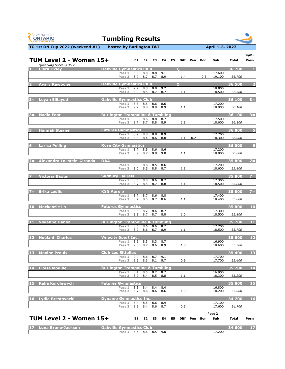| <b>GYMNASTICS</b><br><b>ONTARIO</b><br><b>SPORT STARTS HERE</b> |                                             | <b>Tumbling Results</b>   |            |                        |            |            |    |              |     |            |                  |              |                |
|-----------------------------------------------------------------|---------------------------------------------|---------------------------|------------|------------------------|------------|------------|----|--------------|-----|------------|------------------|--------------|----------------|
| TG 1st ON Cup 2022 (weekend #1)                                 |                                             | hosted by Burlington T&T  |            |                        |            |            |    |              |     |            | April 1-3, 2022  |              |                |
| TUM Level 2 - Women 15+<br>Qualifying Score is 36.2             |                                             |                           | E1         | E <sub>2</sub>         | E3         | E4         | E5 | <b>Diff</b>  | Pen | <b>Bon</b> | Sub              | <b>Total</b> | Page 1<br>Posn |
| <b>Clara Oxley</b><br>п                                         | <b>Oakville Gymnastics Club</b>             |                           |            |                        |            |            |    | $\mathbf 0$  |     |            |                  | 36.700       |                |
|                                                                 |                                             | Pass 1<br>Pass 2          | 8.8<br>8.7 | 8.8<br>8.7             | 8.8<br>8.7 | 9.1<br>8.9 |    | 1.4          |     | 0.3        | 17.600<br>19.100 | 36.700       |                |
| <b>Avary Rawbone</b><br>2                                       | <b>Oakville Gymnastics Club</b>             |                           |            |                        |            |            |    | $\mathbf{O}$ |     |            |                  | 36.500       |                |
|                                                                 |                                             | Pass 1<br>Pass 2          | 9.2<br>8.9 | 8.8<br>8.5             | 8.8<br>8.7 | 9.2<br>8.7 |    | 1.1          |     |            | 18.000<br>18.500 | 36.500       |                |
| <b>Leyan ElSayed</b><br>$3 =$                                   | <b>Oakville Gymnastics Club</b>             |                           |            |                        |            |            |    |              |     |            |                  | 36.100       | $3 =$          |
|                                                                 |                                             | Pass 1<br>Pass 2          | 8.8<br>9.2 | 8.5<br>8.8             | 8.6<br>8.9 | 8.6<br>8.9 |    | 1.1          |     |            | 17.200<br>18.900 | 36.100       |                |
| <b>Nadia Foot</b><br>$3 =$                                      | <b>Burlington Trampoline &amp; Tumbling</b> |                           |            |                        |            |            |    |              |     |            |                  | 36.100       | $3 =$          |
|                                                                 |                                             | Pass 1<br>Pass 2          | 9.0<br>8.7 | 8.6<br>8.7             | 8.8<br>8.8 | 8.7<br>8.9 |    | 1.1          |     |            | 17.500<br>18.600 | 36.100       |                |
| <b>Hannah Steane</b><br>5                                       | <b>Futures Gymnastics</b>                   |                           |            |                        |            |            |    |              |     |            |                  | 36.000       | 5 <sub>5</sub> |
|                                                                 |                                             | Pass 1<br>Pass 2          | 8.9<br>8.8 | 8.8<br>8.4             | 8.8<br>8.6 | 8.9<br>8.8 |    | 1.1          | 0.2 |            | 17.700<br>18.300 | 36.000       |                |
| <b>Larisa Pelling</b><br>6                                      | <b>Rose City Gymnastics</b>                 |                           |            |                        |            |            |    |              |     |            |                  | 36.000       | 6 <sup>1</sup> |
|                                                                 |                                             | Pass 1<br>Pass 2          | 8.7<br>8.9 | 8.5<br>8.7             | 8.6<br>8.8 | 8.6<br>9.0 |    | 1.1          |     |            | 17.200<br>18.800 | 36.000       |                |
| Alexandra Lokstein-Gironda<br>$7 =$                             | <b>OAA</b>                                  |                           |            |                        |            |            |    |              |     |            |                  | 35.800       | $7 =$          |
|                                                                 |                                             | Pass 1<br>Pass 2          | 9.0        | 8.9 8.6 8.5 8.6<br>8.5 | 8.8        | 8.7        |    | 1.1          |     |            | 17.200<br>18.600 | 35.800       |                |
| <b>Victoria Baxter</b><br>7 =                                   | <b>Sudbury Laurels</b>                      |                           |            |                        |            |            |    |              |     |            |                  | 35.800       | $7 =$          |
|                                                                 |                                             | Pass 1<br>Pass 2          | 8.5<br>8.7 | 8.8<br>8.5             | 8.6<br>8.7 | 8.7<br>8.8 |    | 1.1          |     |            | 17.300<br>18.500 | 35.800       |                |
| <b>Erika Ledlie</b><br>7 E                                      | <b>KSG Aurora</b>                           |                           |            |                        |            |            |    |              |     |            |                  | 35.800       | $7 =$          |
|                                                                 |                                             | Pass 1<br>Pass 2          | 8.7<br>8.7 | 8.7<br>8.5             | 8.6<br>8.7 | 8.8<br>8.6 |    | 1.1          |     |            | 17.400<br>18.400 | 35.800       |                |
| 10<br><b>Mackenzie Lo</b>                                       |                                             | <b>Futures Gymnastics</b> |            |                        |            |            |    |              |     |            |                  | 35.800       | 10             |
|                                                                 |                                             | Pass 1<br>Pass 2          | 8.6<br>9.1 | 8.7<br>8.7             | 8.6<br>8.7 | 8.7<br>8.8 |    | 1.0          |     |            | 17.300<br>18.500 | 35.800       |                |
| <b>Vivienne Hanna</b><br>11                                     | <b>Burlington Trampoline &amp; Tumbling</b> |                           |            |                        |            |            |    |              |     |            |                  | 35.700       | 11             |
|                                                                 |                                             | Pass 1<br>Pass 2          | 8.6<br>8.7 | 8.6<br>8.6             | 8.6<br>8.7 | 8.7<br>8.9 |    | 1.1          |     |            | 17.200<br>18.500 | 35.700       |                |
| $12$<br>Noëlani Charles                                         | <b>Velocity Sport Inc.</b>                  |                           |            |                        |            |            |    |              |     |            |                  | 35.500       | $12$           |
|                                                                 |                                             | Pass 1<br>Pass 2          | 8.6<br>9.3 | 8.3<br>8.7             | 8.3<br>8.6 | 8.7<br>8.9 |    | 1.0          |     |            | 16.900<br>18.600 | 35.500       |                |
| 13<br><b>Maxine Proulx</b>                                      | <b>Club Les Sittelles</b>                   |                           |            |                        |            |            |    |              |     |            |                  | 35.400       | 13             |
|                                                                 |                                             | Pass 1<br>Pass 2          | 9.0<br>8.5 | 8.6<br>8.3             | 8.7<br>8.1 | 9.1<br>8.7 |    | 0.9          |     |            | 17.700<br>17.700 | 35.400       |                |

| 14 | <b>LEloise Mouille</b> | __<br>gton Trampoline & Tumbling                       | <b>P2010</b><br>35 | $\overline{14}$ |
|----|------------------------|--------------------------------------------------------|--------------------|-----------------|
|    |                        | 16.900<br>8.7<br>8.2<br>8.5<br>Pass                    |                    |                 |
|    |                        | 18.300<br>8.8<br>8.7<br>8.4<br><b>Pass</b><br>ช.5<br>. | 35.200             |                 |

Page 2

| 15 Kalia Korolewych | <b>Futures Gymnastics</b> |     |      |     |        | 35.000 |  |
|---------------------|---------------------------|-----|------|-----|--------|--------|--|
|                     | 8.3<br>8.4<br>Pass 1      | 8.4 | -8.4 |     | 16.800 |        |  |
|                     | 8.6<br>8.7<br>Pass 2      | 8.6 | 8.6  | 1.U | 18.200 | 35.000 |  |

| 16 Lydia Brestovacki | <b>NDynamo Gymnastics Inc.</b> |                    |     |     |     |        | 34.700 | 16 |
|----------------------|--------------------------------|--------------------|-----|-----|-----|--------|--------|----|
|                      | Pass 1                         | $\Omega$ $\Lambda$ | 8.5 | 8.6 | 8.9 | 17.100 |        |    |
|                      | Pass 2                         | 8.5                | 8.4 | 8.6 | 8.7 | 17.600 | 34.700 |    |

## **E1 E2 E3 E4 E5 Diff Pen Bon Sub Total Posn TUM Level 2 - Women 15+**

| 17 Luna Bruno-Jackson | <b>Dakville Gymnastics Club</b> |  | 734.600 |  |
|-----------------------|---------------------------------|--|---------|--|
|                       | Pass 1 8.6 8.6 8.5 9.0          |  | 17.200  |  |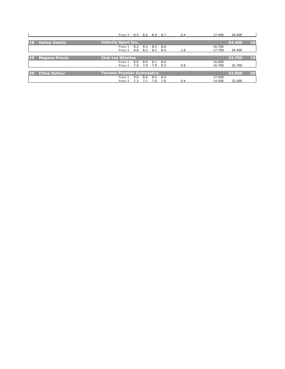|           |                      | Pass 2 8.5 8.5 8.5 8.7            |                 |     |         |      | 0.4 | 17.400 | 34.600 |    |
|-----------|----------------------|-----------------------------------|-----------------|-----|---------|------|-----|--------|--------|----|
|           |                      |                                   |                 |     |         |      |     |        |        |    |
| 18        | <b>Hailey Geerts</b> | <b>Velocity Sport Inc.</b>        |                 |     |         |      |     |        | 34.400 | 18 |
|           |                      | Pass 1                            | 8.2 8.4 8.3 8.6 |     |         |      |     | 16.700 |        |    |
|           |                      | Pass 2 8.8 8.3 8.2 8.4            |                 |     |         |      | 1.0 | 17.700 | 34.400 |    |
|           |                      |                                   |                 |     |         |      |     |        |        |    |
| <b>19</b> | <b>Megane Proulx</b> | <b>Club Les Sittelles</b>         |                 |     |         |      |     |        | 32.700 | 19 |
|           |                      | Pass 1                            | 8.0             | 8.0 | 8.1 8.0 |      |     | 16.000 |        |    |
|           |                      | Pass 2                            | 7.9             | 7.9 | 7.9 8.3 |      | 0.9 | 16.700 | 32.700 |    |
|           |                      |                                   |                 |     |         |      |     |        |        |    |
|           | <b>Chloe Dufour</b>  | <b>Toronto Premier Gymnastics</b> |                 |     |         |      |     |        | 32.000 | 20 |
|           |                      | Pass 1                            | 9.0             | 8.6 | 8.5 8.9 |      |     | 17.500 |        |    |
|           |                      | Pass 2                            | 7.3             | 7.1 | 7.0     | -7.0 | 0.4 | 14.500 | 32.000 |    |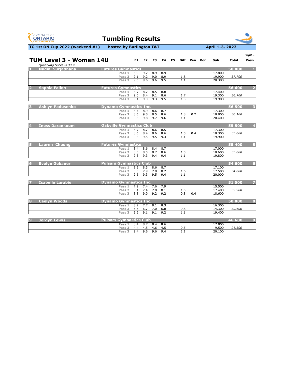| <b>GYMNASTICS</b><br><b>ONTARIO</b><br><b>SPORT STARTS HERE</b> | <b>Tumbling Results</b>         |            |                                |                  |            |                |                                |          |            |                  |              |                |
|-----------------------------------------------------------------|---------------------------------|------------|--------------------------------|------------------|------------|----------------|--------------------------------|----------|------------|------------------|--------------|----------------|
| TG 1st ON Cup 2022 (weekend #1)                                 | hosted by Burlington T&T        |            |                                |                  |            |                |                                |          |            | April 1-3, 2022  |              |                |
|                                                                 |                                 |            |                                |                  |            |                |                                |          |            |                  |              | Page 1         |
| TUM Level 3 - Women 14U                                         |                                 | E1         | E2                             | E3               | E4         | E <sub>5</sub> |                                | Diff Pen | <b>Bon</b> | Sub              | <b>Total</b> | Posn           |
| Qualifying Score is 33.9<br>Nadia Surjadhana                    | <b>Futures Gymnastics</b>       |            |                                |                  |            |                |                                |          |            |                  | 58.000       |                |
|                                                                 | Pass 1                          | 8.9        | 9.2                            | 8.9              | 8.9        |                |                                |          |            | 17.800           |              |                |
|                                                                 | Pass <sub>2</sub>               | 9.1        | 9.2                            | 9.0              | 8.9        |                | 1.8<br>$\overline{1.1}$        |          |            | 19.900           | 37.700       |                |
|                                                                 | Pass 3                          | 9.6        | 9.6                            | 9.6              | 9.5        |                |                                |          |            | 20.300           |              |                |
| <b>Sophia Fallon</b>                                            | <b>Futures Gymnastics</b>       |            |                                |                  |            |                |                                |          |            |                  | 56.600       |                |
|                                                                 | Pass 1                          | 8.7        | 8.7                            | 8.5              | 8.8        |                |                                |          |            | 17.400           |              |                |
|                                                                 | Pass 2<br>Pass 3                | 9.0<br>9.1 | 8.4<br>9.3                     | 9.1<br>9.3       | 8.6<br>9.5 |                | 1.7<br>1,3                     |          |            | 19.300<br>19.900 | 36.700       |                |
|                                                                 |                                 |            |                                |                  |            |                |                                |          |            |                  |              |                |
| <b>Ashlyn Padusenko</b><br>3                                    | <b>Dynamo Gymnastics Inc.</b>   |            |                                |                  |            |                |                                |          |            |                  | 56.500       | 3              |
|                                                                 | Pass 1                          | 8.4        | 8.9                            | 8.6              | 8.7        |                |                                |          |            | 17.300           |              |                |
|                                                                 | Pass <sub>2</sub><br>Pass 3     | 8.6<br>9.6 | 9.0<br>9.8                     | 8.5<br>9.7       | 8.6<br>9.6 |                | 1.8<br>1.1                     | 0.2      |            | 18.800<br>20.400 | 36.100       |                |
|                                                                 |                                 |            |                                |                  |            |                |                                |          |            |                  |              |                |
| <b>Iness Darankoum</b>                                          | <b>Oakville Gymnastics Club</b> |            |                                |                  |            |                |                                |          |            |                  | 55.500       | 4              |
|                                                                 | Pass 1                          | 8.7        | 8.7                            | 8.6              | 8.5        |                |                                |          |            | 17.300           |              |                |
|                                                                 | Pass 2<br>Pass 3                | 8.6<br>9.3 | 8.4<br>9.5                     | 8.6<br>9.5       | 8.6<br>9.3 |                | <u>1.5</u>                     | 0.4      |            | 18.300<br>19.900 | 35.600       |                |
|                                                                 |                                 |            |                                |                  |            |                |                                |          |            |                  |              |                |
| <b>Lauren Cheung</b><br>5                                       | <b>Futures Gymnastics</b>       |            |                                |                  |            |                |                                |          |            |                  | 55.400       | 5              |
|                                                                 | Pass 1                          | 8.4        | 8.6                            | 8.4              | 8.7        |                |                                |          |            | 17.000           |              |                |
|                                                                 | Pass <sub>2</sub><br>Pass 3     | 8.5<br>9.3 | 8.5<br>9.3                     | 8.7<br>9.4       | 8.6<br>9.4 |                | <u>1.5</u><br>$\overline{1.1}$ |          |            | 18.600<br>19.800 | 35.600       |                |
|                                                                 |                                 |            |                                |                  |            |                |                                |          |            |                  |              |                |
| <b>Evelyn Gebauer</b>                                           | <b>Pulsars Gymnastics Club</b>  |            |                                |                  |            |                |                                |          |            |                  | 54.600       | 6              |
|                                                                 | Pass 1                          |            | 8.5 8.3                        | 8.6              | 8.7        |                |                                |          |            | 17.100           |              |                |
|                                                                 | Pass 2<br>Pass 3                | 9.5        | 8.0 7.9 7.8 8.2<br>9.3         | 9.5              | 9.4        |                | <u>1.6</u><br>1.1              |          |            | 17.500<br>20.000 | 34.600       |                |
|                                                                 |                                 |            |                                |                  |            |                |                                |          |            |                  |              |                |
| <b>Isabelle Larabie</b>                                         | <b>Dynamo Gymnastics Inc.</b>   |            |                                |                  |            |                |                                |          |            |                  | 51.500       |                |
|                                                                 | Pass 1<br>Pass 2                |            | 7.9 7.4 7.6 7.9<br>8.1 7.4 7.8 |                  | 8.1        |                | 1.5                            |          |            | 15.500<br>17.400 | 32.900       |                |
|                                                                 | Pass 3                          | 8.8        | 9.0                            | 9.2              | 9.2        |                | 0.8                            | 0.4      |            | 18.600           |              |                |
|                                                                 |                                 |            |                                |                  |            |                |                                |          |            |                  |              |                |
| <b>Caelyn Woods</b><br>8                                        | <b>Dynamo Gymnastics Inc.</b>   |            |                                |                  |            |                |                                |          |            |                  | 50.000       | 8              |
|                                                                 | Pass 1<br>Pass 2                | 6.6 6.7    | $8.2$ 7.7 $8.1$                | 7.0              | 8.3<br>6.8 |                | 0.8                            |          |            | 16.300<br>14.300 | 30.600       |                |
|                                                                 | Pass 3                          | 9.2        | 9.1                            | $\overline{9.1}$ | 9.2        |                | $\overline{1.1}$               |          |            | 19.400           |              |                |
|                                                                 |                                 |            |                                |                  |            |                |                                |          |            |                  |              |                |
| <b>Jordyn Lewis</b><br>9                                        | <b>Pulsars Gymnastics Club</b>  |            |                                |                  |            |                |                                |          |            |                  | 46.600       | $\overline{9}$ |
|                                                                 | Pass 1<br>Pass 2                | 8.4<br>4.4 | 8.7<br>4.5                     | 8.4<br>4.6       | 8.6<br>4.5 |                | 0.5                            |          |            | 17.000<br>9.500  | 26.500       |                |
|                                                                 | Pass 3                          | 9.4        | 9.6                            | 9.6              | 9.4        |                | 1.1                            |          |            | 20.100           |              |                |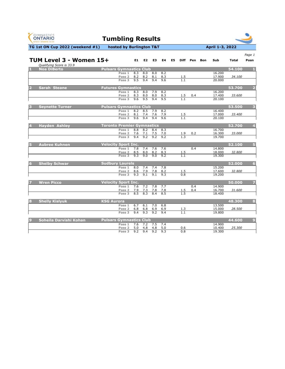| TG 1st ON Cup 2022 (weekend #1)<br>April 1-3, 2022<br>hosted by Burlington T&T<br>Page 1<br>TUM Level 3 - Women 15+<br>E1<br>E2<br><b>E4</b><br>E <sub>5</sub><br>Diff Pen<br>E3<br>Sub<br><b>Total</b><br>Posn<br><b>Bon</b><br>Qualifying Score is 33.9<br><b>Pulsars Gymnastics Club</b><br>54.100<br><b>Noa DiBerto</b><br>8.3<br>16.200<br>Pass 1<br>8.0<br>8.0<br>8.2<br>8.2<br>8.2<br>8.1<br>8.3<br>17.900<br>34.100<br>Pass <sub>2</sub><br><u>1.5</u><br>$\overline{1.1}$<br>9.5<br>9.4<br>9.4<br>9.6<br>Pass 3<br>20.000<br><b>Futures Gymnastics</b><br>53.700<br><b>Sarah Steane</b><br>$\overline{\mathbf{2}}$<br>8.3<br>8.0<br>7.9<br>8.2<br>16.200<br>Pass 1<br>8.0<br>8.0<br>17.400<br>33.600<br>8.3<br>8.3<br>1.5<br>0.4<br>Pass 2<br>9.5<br>$\overline{1.1}$<br>9.6<br>9.4<br>9.5<br>Pass 3<br>20.100<br><b>Pulsars Gymnastics Club</b><br>53.500<br>3<br><b>Seynette Turner</b><br>Pass 1<br>8.2<br>8.5<br>7.9<br>8.2<br>16.400<br>8.1<br>$7.4$ 7.6<br>33.400<br>Pass 2<br>7.9<br>17.000<br><u>1.5</u><br>$\overline{1.1}$<br>9.4<br>9.4<br>9.6<br>Pass 3<br>9.6<br>20.100<br><b>Toronto Premier Gymnastics</b><br>52.700<br><b>Hayden Ashley</b><br>4<br>8.8<br>8.2<br>8.4<br>16.700<br>Pass 1<br>8.3<br>7.6<br>7.5<br>16.300<br>33.000<br>7.1<br>7.0<br>0.2<br>Pass 2<br>1.9<br>9.2<br>$\overline{1.3}$<br>9.4<br>9.2<br>19.700<br>9.2<br>Pass 3<br><b>Aubree Kuhnen</b><br>52.100<br><b>Velocity Sport Inc.</b><br>5<br>7.8<br>7.6<br>7.6<br>0.4<br>14.800<br>Pass 1<br>7.4<br>32.800<br>8.5<br>8.0<br>8.2<br>8.3<br>1.5<br>18.000<br>Pass 2<br>9.2<br>$\overline{1.1}$<br>9.3<br>9.0<br>Pass 3<br>9.0<br>19.300<br>6<br><b>Sudbury Laurels</b><br><b>Shelby Schwar</b><br>52.000<br>15.200<br>7.8<br>8.0<br>7.4<br>7.4<br>Pass 1<br>17.600<br>32.800<br>8.6<br>7.8<br>8.2<br>1.5<br>Pass 2<br>7.9<br>$\overline{0.8}$<br>19.200<br>9.3<br>9.1<br>$\overline{9.1}$<br>9.3<br>Pass 3<br><b>Velocity Sport Inc.</b><br>50.000<br>7<br><b>Wren Picco</b><br>7<br>Pass 1<br>7.2<br>0.4<br>14.900<br>7.6<br>$7.8$ 7.7<br>Pass 2<br>0.4<br>31.600<br>7.9<br>7.3<br>7.8<br>1.5<br>16.700<br>7.8<br>8.5<br>8.3<br>1.5<br>Pass 3<br>8.4<br>8.5<br>18.400<br>8<br><b>KSG Aurora</b><br>48.300<br><b>Shelly Kislyuk</b><br>8<br>13.500<br>7.0<br>6.8<br>6.7<br>6.1<br>Pass 1<br>28.500<br>6.8 6.8 6.9 6.9<br>1.3<br>15.000<br>Pass 2<br>1.1<br>19.800<br>9.3<br>9.4<br>Pass 3<br>9.4<br>9.2<br>9<br>44.600<br><b>Pulsars Gymnastics Club</b><br>Soheila Darvishi Kohan<br>$\overline{9}$<br>14.900<br>Pass 1<br>7.6<br>7.2<br>7.5<br>7.4<br>5.0<br>10.400<br>25.300<br>4.8<br>4.8<br>Pass 2<br>5.0<br>0.6 | <b>GYMNASTICS</b><br><b>ONTARIO</b><br><b>SPORT STARTS HERE</b> | <b>Tumbling Results</b> |     |     |     |     |                  |  |        |  |
|----------------------------------------------------------------------------------------------------------------------------------------------------------------------------------------------------------------------------------------------------------------------------------------------------------------------------------------------------------------------------------------------------------------------------------------------------------------------------------------------------------------------------------------------------------------------------------------------------------------------------------------------------------------------------------------------------------------------------------------------------------------------------------------------------------------------------------------------------------------------------------------------------------------------------------------------------------------------------------------------------------------------------------------------------------------------------------------------------------------------------------------------------------------------------------------------------------------------------------------------------------------------------------------------------------------------------------------------------------------------------------------------------------------------------------------------------------------------------------------------------------------------------------------------------------------------------------------------------------------------------------------------------------------------------------------------------------------------------------------------------------------------------------------------------------------------------------------------------------------------------------------------------------------------------------------------------------------------------------------------------------------------------------------------------------------------------------------------------------------------------------------------------------------------------------------------------------------------------------------------------------------------------------------------------------------------------------------------------------------------------------------------------------------------------------------------------------------------------------------------------------------------------------------------------------------------------------------------------------------------|-----------------------------------------------------------------|-------------------------|-----|-----|-----|-----|------------------|--|--------|--|
|                                                                                                                                                                                                                                                                                                                                                                                                                                                                                                                                                                                                                                                                                                                                                                                                                                                                                                                                                                                                                                                                                                                                                                                                                                                                                                                                                                                                                                                                                                                                                                                                                                                                                                                                                                                                                                                                                                                                                                                                                                                                                                                                                                                                                                                                                                                                                                                                                                                                                                                                                                                                                      |                                                                 |                         |     |     |     |     |                  |  |        |  |
|                                                                                                                                                                                                                                                                                                                                                                                                                                                                                                                                                                                                                                                                                                                                                                                                                                                                                                                                                                                                                                                                                                                                                                                                                                                                                                                                                                                                                                                                                                                                                                                                                                                                                                                                                                                                                                                                                                                                                                                                                                                                                                                                                                                                                                                                                                                                                                                                                                                                                                                                                                                                                      |                                                                 |                         |     |     |     |     |                  |  |        |  |
|                                                                                                                                                                                                                                                                                                                                                                                                                                                                                                                                                                                                                                                                                                                                                                                                                                                                                                                                                                                                                                                                                                                                                                                                                                                                                                                                                                                                                                                                                                                                                                                                                                                                                                                                                                                                                                                                                                                                                                                                                                                                                                                                                                                                                                                                                                                                                                                                                                                                                                                                                                                                                      |                                                                 |                         |     |     |     |     |                  |  |        |  |
|                                                                                                                                                                                                                                                                                                                                                                                                                                                                                                                                                                                                                                                                                                                                                                                                                                                                                                                                                                                                                                                                                                                                                                                                                                                                                                                                                                                                                                                                                                                                                                                                                                                                                                                                                                                                                                                                                                                                                                                                                                                                                                                                                                                                                                                                                                                                                                                                                                                                                                                                                                                                                      |                                                                 |                         |     |     |     |     |                  |  |        |  |
|                                                                                                                                                                                                                                                                                                                                                                                                                                                                                                                                                                                                                                                                                                                                                                                                                                                                                                                                                                                                                                                                                                                                                                                                                                                                                                                                                                                                                                                                                                                                                                                                                                                                                                                                                                                                                                                                                                                                                                                                                                                                                                                                                                                                                                                                                                                                                                                                                                                                                                                                                                                                                      |                                                                 |                         |     |     |     |     |                  |  |        |  |
|                                                                                                                                                                                                                                                                                                                                                                                                                                                                                                                                                                                                                                                                                                                                                                                                                                                                                                                                                                                                                                                                                                                                                                                                                                                                                                                                                                                                                                                                                                                                                                                                                                                                                                                                                                                                                                                                                                                                                                                                                                                                                                                                                                                                                                                                                                                                                                                                                                                                                                                                                                                                                      |                                                                 |                         |     |     |     |     |                  |  |        |  |
|                                                                                                                                                                                                                                                                                                                                                                                                                                                                                                                                                                                                                                                                                                                                                                                                                                                                                                                                                                                                                                                                                                                                                                                                                                                                                                                                                                                                                                                                                                                                                                                                                                                                                                                                                                                                                                                                                                                                                                                                                                                                                                                                                                                                                                                                                                                                                                                                                                                                                                                                                                                                                      |                                                                 |                         |     |     |     |     |                  |  |        |  |
|                                                                                                                                                                                                                                                                                                                                                                                                                                                                                                                                                                                                                                                                                                                                                                                                                                                                                                                                                                                                                                                                                                                                                                                                                                                                                                                                                                                                                                                                                                                                                                                                                                                                                                                                                                                                                                                                                                                                                                                                                                                                                                                                                                                                                                                                                                                                                                                                                                                                                                                                                                                                                      |                                                                 |                         |     |     |     |     |                  |  |        |  |
|                                                                                                                                                                                                                                                                                                                                                                                                                                                                                                                                                                                                                                                                                                                                                                                                                                                                                                                                                                                                                                                                                                                                                                                                                                                                                                                                                                                                                                                                                                                                                                                                                                                                                                                                                                                                                                                                                                                                                                                                                                                                                                                                                                                                                                                                                                                                                                                                                                                                                                                                                                                                                      |                                                                 |                         |     |     |     |     |                  |  |        |  |
|                                                                                                                                                                                                                                                                                                                                                                                                                                                                                                                                                                                                                                                                                                                                                                                                                                                                                                                                                                                                                                                                                                                                                                                                                                                                                                                                                                                                                                                                                                                                                                                                                                                                                                                                                                                                                                                                                                                                                                                                                                                                                                                                                                                                                                                                                                                                                                                                                                                                                                                                                                                                                      |                                                                 |                         |     |     |     |     |                  |  |        |  |
|                                                                                                                                                                                                                                                                                                                                                                                                                                                                                                                                                                                                                                                                                                                                                                                                                                                                                                                                                                                                                                                                                                                                                                                                                                                                                                                                                                                                                                                                                                                                                                                                                                                                                                                                                                                                                                                                                                                                                                                                                                                                                                                                                                                                                                                                                                                                                                                                                                                                                                                                                                                                                      |                                                                 |                         |     |     |     |     |                  |  |        |  |
|                                                                                                                                                                                                                                                                                                                                                                                                                                                                                                                                                                                                                                                                                                                                                                                                                                                                                                                                                                                                                                                                                                                                                                                                                                                                                                                                                                                                                                                                                                                                                                                                                                                                                                                                                                                                                                                                                                                                                                                                                                                                                                                                                                                                                                                                                                                                                                                                                                                                                                                                                                                                                      |                                                                 |                         |     |     |     |     |                  |  |        |  |
|                                                                                                                                                                                                                                                                                                                                                                                                                                                                                                                                                                                                                                                                                                                                                                                                                                                                                                                                                                                                                                                                                                                                                                                                                                                                                                                                                                                                                                                                                                                                                                                                                                                                                                                                                                                                                                                                                                                                                                                                                                                                                                                                                                                                                                                                                                                                                                                                                                                                                                                                                                                                                      |                                                                 |                         |     |     |     |     |                  |  |        |  |
|                                                                                                                                                                                                                                                                                                                                                                                                                                                                                                                                                                                                                                                                                                                                                                                                                                                                                                                                                                                                                                                                                                                                                                                                                                                                                                                                                                                                                                                                                                                                                                                                                                                                                                                                                                                                                                                                                                                                                                                                                                                                                                                                                                                                                                                                                                                                                                                                                                                                                                                                                                                                                      |                                                                 |                         |     |     |     |     |                  |  |        |  |
|                                                                                                                                                                                                                                                                                                                                                                                                                                                                                                                                                                                                                                                                                                                                                                                                                                                                                                                                                                                                                                                                                                                                                                                                                                                                                                                                                                                                                                                                                                                                                                                                                                                                                                                                                                                                                                                                                                                                                                                                                                                                                                                                                                                                                                                                                                                                                                                                                                                                                                                                                                                                                      |                                                                 |                         |     |     |     |     |                  |  |        |  |
|                                                                                                                                                                                                                                                                                                                                                                                                                                                                                                                                                                                                                                                                                                                                                                                                                                                                                                                                                                                                                                                                                                                                                                                                                                                                                                                                                                                                                                                                                                                                                                                                                                                                                                                                                                                                                                                                                                                                                                                                                                                                                                                                                                                                                                                                                                                                                                                                                                                                                                                                                                                                                      |                                                                 |                         |     |     |     |     |                  |  |        |  |
|                                                                                                                                                                                                                                                                                                                                                                                                                                                                                                                                                                                                                                                                                                                                                                                                                                                                                                                                                                                                                                                                                                                                                                                                                                                                                                                                                                                                                                                                                                                                                                                                                                                                                                                                                                                                                                                                                                                                                                                                                                                                                                                                                                                                                                                                                                                                                                                                                                                                                                                                                                                                                      |                                                                 |                         |     |     |     |     |                  |  |        |  |
|                                                                                                                                                                                                                                                                                                                                                                                                                                                                                                                                                                                                                                                                                                                                                                                                                                                                                                                                                                                                                                                                                                                                                                                                                                                                                                                                                                                                                                                                                                                                                                                                                                                                                                                                                                                                                                                                                                                                                                                                                                                                                                                                                                                                                                                                                                                                                                                                                                                                                                                                                                                                                      |                                                                 |                         |     |     |     |     |                  |  |        |  |
|                                                                                                                                                                                                                                                                                                                                                                                                                                                                                                                                                                                                                                                                                                                                                                                                                                                                                                                                                                                                                                                                                                                                                                                                                                                                                                                                                                                                                                                                                                                                                                                                                                                                                                                                                                                                                                                                                                                                                                                                                                                                                                                                                                                                                                                                                                                                                                                                                                                                                                                                                                                                                      |                                                                 |                         |     |     |     |     |                  |  |        |  |
|                                                                                                                                                                                                                                                                                                                                                                                                                                                                                                                                                                                                                                                                                                                                                                                                                                                                                                                                                                                                                                                                                                                                                                                                                                                                                                                                                                                                                                                                                                                                                                                                                                                                                                                                                                                                                                                                                                                                                                                                                                                                                                                                                                                                                                                                                                                                                                                                                                                                                                                                                                                                                      |                                                                 |                         |     |     |     |     |                  |  |        |  |
|                                                                                                                                                                                                                                                                                                                                                                                                                                                                                                                                                                                                                                                                                                                                                                                                                                                                                                                                                                                                                                                                                                                                                                                                                                                                                                                                                                                                                                                                                                                                                                                                                                                                                                                                                                                                                                                                                                                                                                                                                                                                                                                                                                                                                                                                                                                                                                                                                                                                                                                                                                                                                      |                                                                 |                         |     |     |     |     |                  |  |        |  |
|                                                                                                                                                                                                                                                                                                                                                                                                                                                                                                                                                                                                                                                                                                                                                                                                                                                                                                                                                                                                                                                                                                                                                                                                                                                                                                                                                                                                                                                                                                                                                                                                                                                                                                                                                                                                                                                                                                                                                                                                                                                                                                                                                                                                                                                                                                                                                                                                                                                                                                                                                                                                                      |                                                                 |                         |     |     |     |     |                  |  |        |  |
|                                                                                                                                                                                                                                                                                                                                                                                                                                                                                                                                                                                                                                                                                                                                                                                                                                                                                                                                                                                                                                                                                                                                                                                                                                                                                                                                                                                                                                                                                                                                                                                                                                                                                                                                                                                                                                                                                                                                                                                                                                                                                                                                                                                                                                                                                                                                                                                                                                                                                                                                                                                                                      |                                                                 |                         |     |     |     |     |                  |  |        |  |
|                                                                                                                                                                                                                                                                                                                                                                                                                                                                                                                                                                                                                                                                                                                                                                                                                                                                                                                                                                                                                                                                                                                                                                                                                                                                                                                                                                                                                                                                                                                                                                                                                                                                                                                                                                                                                                                                                                                                                                                                                                                                                                                                                                                                                                                                                                                                                                                                                                                                                                                                                                                                                      |                                                                 |                         |     |     |     |     |                  |  |        |  |
|                                                                                                                                                                                                                                                                                                                                                                                                                                                                                                                                                                                                                                                                                                                                                                                                                                                                                                                                                                                                                                                                                                                                                                                                                                                                                                                                                                                                                                                                                                                                                                                                                                                                                                                                                                                                                                                                                                                                                                                                                                                                                                                                                                                                                                                                                                                                                                                                                                                                                                                                                                                                                      |                                                                 |                         |     |     |     |     |                  |  |        |  |
|                                                                                                                                                                                                                                                                                                                                                                                                                                                                                                                                                                                                                                                                                                                                                                                                                                                                                                                                                                                                                                                                                                                                                                                                                                                                                                                                                                                                                                                                                                                                                                                                                                                                                                                                                                                                                                                                                                                                                                                                                                                                                                                                                                                                                                                                                                                                                                                                                                                                                                                                                                                                                      |                                                                 |                         |     |     |     |     |                  |  |        |  |
|                                                                                                                                                                                                                                                                                                                                                                                                                                                                                                                                                                                                                                                                                                                                                                                                                                                                                                                                                                                                                                                                                                                                                                                                                                                                                                                                                                                                                                                                                                                                                                                                                                                                                                                                                                                                                                                                                                                                                                                                                                                                                                                                                                                                                                                                                                                                                                                                                                                                                                                                                                                                                      |                                                                 |                         |     |     |     |     |                  |  |        |  |
|                                                                                                                                                                                                                                                                                                                                                                                                                                                                                                                                                                                                                                                                                                                                                                                                                                                                                                                                                                                                                                                                                                                                                                                                                                                                                                                                                                                                                                                                                                                                                                                                                                                                                                                                                                                                                                                                                                                                                                                                                                                                                                                                                                                                                                                                                                                                                                                                                                                                                                                                                                                                                      |                                                                 |                         |     |     |     |     |                  |  |        |  |
|                                                                                                                                                                                                                                                                                                                                                                                                                                                                                                                                                                                                                                                                                                                                                                                                                                                                                                                                                                                                                                                                                                                                                                                                                                                                                                                                                                                                                                                                                                                                                                                                                                                                                                                                                                                                                                                                                                                                                                                                                                                                                                                                                                                                                                                                                                                                                                                                                                                                                                                                                                                                                      |                                                                 |                         |     |     |     |     |                  |  |        |  |
|                                                                                                                                                                                                                                                                                                                                                                                                                                                                                                                                                                                                                                                                                                                                                                                                                                                                                                                                                                                                                                                                                                                                                                                                                                                                                                                                                                                                                                                                                                                                                                                                                                                                                                                                                                                                                                                                                                                                                                                                                                                                                                                                                                                                                                                                                                                                                                                                                                                                                                                                                                                                                      |                                                                 |                         |     |     |     |     |                  |  |        |  |
|                                                                                                                                                                                                                                                                                                                                                                                                                                                                                                                                                                                                                                                                                                                                                                                                                                                                                                                                                                                                                                                                                                                                                                                                                                                                                                                                                                                                                                                                                                                                                                                                                                                                                                                                                                                                                                                                                                                                                                                                                                                                                                                                                                                                                                                                                                                                                                                                                                                                                                                                                                                                                      |                                                                 |                         |     |     |     |     |                  |  |        |  |
|                                                                                                                                                                                                                                                                                                                                                                                                                                                                                                                                                                                                                                                                                                                                                                                                                                                                                                                                                                                                                                                                                                                                                                                                                                                                                                                                                                                                                                                                                                                                                                                                                                                                                                                                                                                                                                                                                                                                                                                                                                                                                                                                                                                                                                                                                                                                                                                                                                                                                                                                                                                                                      |                                                                 |                         |     |     |     |     |                  |  |        |  |
|                                                                                                                                                                                                                                                                                                                                                                                                                                                                                                                                                                                                                                                                                                                                                                                                                                                                                                                                                                                                                                                                                                                                                                                                                                                                                                                                                                                                                                                                                                                                                                                                                                                                                                                                                                                                                                                                                                                                                                                                                                                                                                                                                                                                                                                                                                                                                                                                                                                                                                                                                                                                                      |                                                                 |                         |     |     |     |     |                  |  |        |  |
|                                                                                                                                                                                                                                                                                                                                                                                                                                                                                                                                                                                                                                                                                                                                                                                                                                                                                                                                                                                                                                                                                                                                                                                                                                                                                                                                                                                                                                                                                                                                                                                                                                                                                                                                                                                                                                                                                                                                                                                                                                                                                                                                                                                                                                                                                                                                                                                                                                                                                                                                                                                                                      |                                                                 |                         |     |     |     |     |                  |  |        |  |
|                                                                                                                                                                                                                                                                                                                                                                                                                                                                                                                                                                                                                                                                                                                                                                                                                                                                                                                                                                                                                                                                                                                                                                                                                                                                                                                                                                                                                                                                                                                                                                                                                                                                                                                                                                                                                                                                                                                                                                                                                                                                                                                                                                                                                                                                                                                                                                                                                                                                                                                                                                                                                      |                                                                 | Pass 3                  | 9.2 | 9.4 | 9.2 | 9.3 | $\overline{0.8}$ |  | 19.300 |  |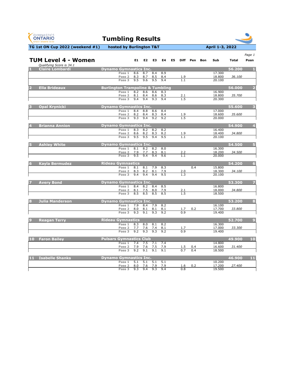| <b>GYMNASTICS</b><br><b>ONTARIO</b><br><b>SPORT STARTS HERE</b> | <b>Tumbling Results</b>                               |                  |                      |                              |                |    |                                |          |            |                  |              |                         |
|-----------------------------------------------------------------|-------------------------------------------------------|------------------|----------------------|------------------------------|----------------|----|--------------------------------|----------|------------|------------------|--------------|-------------------------|
| TG 1st ON Cup 2022 (weekend #1)                                 | hosted by Burlington T&T                              |                  |                      |                              |                |    |                                |          |            | April 1-3, 2022  |              |                         |
|                                                                 |                                                       |                  |                      |                              |                |    |                                |          |            |                  |              | Page 1                  |
| <b>TUM Level 4 - Women</b>                                      |                                                       | E1               | E2                   | E <sub>3</sub>               | E4             | E5 |                                | Diff Pen | <b>Bon</b> | Sub              | <b>Total</b> | Posn                    |
| Qualifying Score is 34.1<br><b>Claire Lombardi</b>              | <b>Dynamo Gymnastics Inc.</b>                         |                  |                      |                              |                |    |                                |          |            |                  | 56.200       |                         |
|                                                                 | Pass 1                                                | $\overline{8.6}$ | 8.7                  | 8.4                          | 8.9            |    |                                |          |            | 17.300           |              |                         |
|                                                                 | Pass 2<br>Pass 3                                      | 8.3<br>9.5       | 8.7<br>9,6           | 8.5<br>9.5                   | 8.4<br>9.4     |    | <u>1.9</u><br>$\overline{1.1}$ |          |            | 18.800<br>20.100 | 36.100       |                         |
|                                                                 |                                                       |                  |                      |                              |                |    |                                |          |            |                  |              |                         |
| <b>Ella Brideaux</b><br>$\overline{\mathbf{2}}$                 | <b>Burlington Trampoline &amp; Tumbling</b><br>Pass 1 | 8.2              | 8.6                  | 8.6                          | 8.3            |    |                                |          |            | 16.900           | 56.000       | $\overline{\mathbf{2}}$ |
|                                                                 | Pass <sub>2</sub>                                     | 8.1              | 8.4                  | 8.6                          | 8.3            |    | 2.1                            |          |            | 18.800           | 35.700       |                         |
|                                                                 | Pass 3                                                | 9.4              | 9.4                  | 9.3                          | 9.4            |    | 1.5                            |          |            | 20.300           |              |                         |
| <b>Opal Krynicki</b>                                            | <b>Dynamo Gymnastics Inc.</b>                         |                  |                      |                              |                |    |                                |          |            |                  | 55.600       | 3                       |
|                                                                 | Pass 1                                                | 8.4              | 8.8                  | 8.6                          | 8.4            |    |                                |          |            | 17.000           |              |                         |
|                                                                 | Pass 2                                                | 8.2              | 8.4                  | 8.3                          | 8.4            |    | <u>1.9</u><br>$\overline{1.5}$ |          |            | 18.600           | 35.600       |                         |
|                                                                 | Pass 3                                                | 9.3              | 9.4                  | 9.2                          | 9.2            |    |                                |          |            | 20.000           |              |                         |
| <b>Brianna Annion</b>                                           | <b>Dynamo Gymnastics Inc.</b>                         |                  |                      |                              |                |    |                                |          |            |                  | 54.900       |                         |
|                                                                 | Pass 1                                                | 8.3              | 8.2                  | 8.2                          | 8.2            |    |                                |          |            | 16.400           |              |                         |
|                                                                 | Pass 2<br>Pass 3                                      | 8.6<br>9.5       | 8.2<br>9.5           | 8.3<br>9.4                   | 8.2<br>9.5     |    | 1.9<br>1.1                     |          |            | 18.400<br>20.100 | 34.800       |                         |
|                                                                 |                                                       |                  |                      |                              |                |    |                                |          |            |                  |              |                         |
| <b>Ashley White</b>                                             | <b>Dynamo Gymnastics Inc.</b>                         |                  |                      |                              |                |    |                                |          |            |                  | 54.500       | 5                       |
|                                                                 | Pass 1<br>Pass 2                                      | 8.1<br>7.9       | 8.2<br>7.7           | 8.2<br>8.3                   | 8.0<br>8.1     |    | 2.2                            |          |            | 16.300<br>18.200 | 34.500       |                         |
|                                                                 | Pass 3                                                | 9.5              | 9.4                  | 9.4                          | 9.6            |    | 1.1                            |          |            | 20.000           |              |                         |
| <b>Kayla Bermudez</b>                                           | <b>Rideau Gymnastics</b>                              |                  |                      |                              |                |    |                                |          |            |                  | 54.200       |                         |
|                                                                 | Pass 1                                                |                  |                      | 8.1 8.1 7.9 8.3              |                |    |                                | 0.4      |            | 15.800           |              | $\bullet$               |
|                                                                 | Pass 2                                                |                  |                      | 8.3 8.2 8.1 7.9              |                |    | 2.0                            |          |            | 18.300           | 34.100       |                         |
|                                                                 | Pass 3                                                | 9.4              |                      | 9.4 9.4 9.5                  |                |    | 1.3                            |          |            | 20.100           |              |                         |
| <b>Avery Bond</b><br>7                                          | <b>Dynamo Gymnastics Inc.</b>                         |                  |                      |                              |                |    |                                |          |            |                  | 53.300       | 7                       |
|                                                                 | Pass 1                                                |                  |                      | 8.4 8.2 8.4 8.5              |                |    |                                |          |            | 16.800           |              |                         |
|                                                                 | Pass 2<br>Pass 3                                      |                  | 8.1 7.5              | $8.5$ $8.5$ $8.5$            | 8.0 7.9<br>8.5 |    | 2.1<br>$\overline{1.5}$        |          |            | 18.000<br>18.500 | 34.800       |                         |
|                                                                 |                                                       |                  |                      |                              |                |    |                                |          |            |                  |              |                         |
| <b>Julia Manderson</b><br>8                                     | <b>Dynamo Gymnastics Inc.</b>                         |                  |                      |                              |                |    |                                |          |            |                  | 53.200       | 8                       |
|                                                                 | Pass 1                                                |                  | 7.9 8.4              |                              | $7.9$ 8.2      |    |                                |          |            | 16.100<br>17.700 | 33.800       |                         |
|                                                                 | Pass 2 8.0 8.1 8.1 8.1<br>Pass 3 9.3                  |                  | 9.1                  | 9.3                          | 9.2            |    | 1.7<br>0.9                     | 0.2      |            | 19.400           |              |                         |
|                                                                 |                                                       |                  |                      |                              |                |    |                                |          |            |                  |              |                         |
| $\overline{9}$<br><b>Reagan Terry</b>                           | <b>Rideau Gymnastics</b><br>Pass 1 8.3 8.0 8.1 8.2    |                  |                      |                              |                |    |                                |          |            | 16.300           | 52.700       | $\overline{9}$          |
|                                                                 | Pass 2 7.7 7.6 7.4 8.1                                |                  |                      |                              |                |    | 1.7                            |          |            | 17.000           | 33.300       |                         |
|                                                                 | Pass 3 9.2 9.3                                        |                  |                      |                              | $9.3$ 9.2      |    | 0.9                            |          |            | 19.400           |              |                         |
| 10<br><b>Faron Bailey</b>                                       | <b>Pulsars Gymnastics Club</b>                        |                  |                      |                              |                |    |                                |          |            |                  | 49.900       | 10                      |
|                                                                 | Pass 1 7.4 7.5 7.1 7.4                                |                  |                      |                              |                |    |                                |          |            | 14.800           |              |                         |
|                                                                 | Pass 2 7.9 7.6 7.5 7.9                                |                  |                      |                              |                |    | 1.5                            | 0.4      |            | 16.600           | 31.400       |                         |
|                                                                 | Pass 3                                                |                  | 9.2 $9.\overline{1}$ | 9.1                          | 9.1            |    | 0.7                            | 0.4      |            | 18.500           |              |                         |
| <b>Isabelle Shanks</b><br>11                                    | <b>Dynamo Gymnastics Inc.</b>                         |                  |                      |                              |                |    |                                |          |            |                  | 46.900       | 11                      |
|                                                                 | Pass 1                                                |                  |                      | $\overline{5.1}$ 5.1 5.1 5.1 |                |    |                                |          |            | 10.200           |              |                         |

**Pass 2** 8.0 7.6 7.9 7.9 1.6 0.2 17.200 *27.400*

**Pass 3** 9.3 9.4 9.3 9.4 0.8 19.500

 $\mathbf{1}$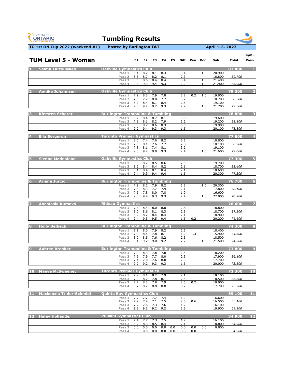| April 1-3, 2022<br>TG 1st ON Cup 2022 (weekend #1)<br>hosted by Burlington T&T<br><b>TUM Level 5 - Women</b><br>E1<br>E <sub>2</sub><br>E3<br>E4<br>E5<br><b>Diff</b><br>Pen<br><b>Bon</b><br>Sub<br><b>Total</b><br><b>Oakville Gymnastics Club</b><br>83.000<br><b>Salma Tartoussieh</b><br>Pass 1<br>8.4<br>8.2<br>8.1<br>8.3<br>3.4<br>1.0<br>20.900<br>8.2<br>2.3<br>18.800<br>8.3<br>8.7<br>8.1<br>39.700<br>Pass <sub>2</sub><br>$\overline{3.4}$<br>8.6<br>8.6<br>8.4<br>8.4<br>1.0<br>21.400<br>Pass 3<br>2.2<br>83.000<br>9.4<br>9.3<br>9.4<br>9.3<br>1.0<br>21.900<br>Pass 4<br><b>Oakville Gymnastics Club</b><br><b>Annika Johannsen</b><br>79.300<br>7.9<br>8.3<br>7.9<br>7.8<br>3.2<br>0.2<br>19.800<br>1.0<br>Pass 1<br>7.8<br>8.0<br>3.2<br>7.7<br>7.7<br>18.700<br>38.500<br>Pass 2<br>8.2<br>8.4<br>8.1<br>8.4<br>2.5<br>19.100<br>Pass 3<br>9.2<br>9.3<br>9.2<br>9.3<br>2.2<br>21.700<br>79.300<br>1.0<br>Pass 4<br><b>Burlington Trampoline &amp; Tumbling</b><br>78.800<br><b>Kiersten Scherer</b><br>8.2<br>8.4<br>8.7<br>19.600<br>Pass 1<br>8.1<br>3.0<br>7.8<br>8.2<br>3.2<br>19.200<br>8.1<br>7.9<br>38.800<br>Pass <sub>2</sub><br>8.3<br>8.7<br>8.6<br>8.3<br>3.0<br>19.900<br>Pass 3<br>Pass 4<br>9.2<br>9.4<br>9.3<br>9.3<br>1.5<br>20.100<br>78.800<br><b>Toronto Premier Gymnastics</b><br>77.600<br><b>Ella Bergeron</b><br>7.6<br>8.0<br>7.4<br>8.2<br>3.2<br>18.800<br>Pass 1<br>7.6<br>18.100<br>36.900<br>8.1<br>7.6<br>7.7<br>2.8<br>Pass <sub>2</sub><br>7.8<br>8.1<br>7.4<br>$\overline{3.2}$<br>8.1<br>19.100<br>Pass 3<br>9.0<br>9.2<br>9.0<br>9.3<br>21.600<br>77.600<br>2.4<br>1.0<br>Pass 4<br>Sienna Maddalena<br>77.300<br><b>Oakville Gymnastics Club</b><br>5<br>Pass 1 8.6 8.7 8.5 8.6<br>2.5<br>19.700<br>18.700<br>8.2 8.4 8.4 8.2<br>2.1<br>38.400<br>Pass 2<br>18.600<br>Pass 3<br>8.1<br>8.4<br>8.1<br>8.4<br>2.1<br>20.300<br>9.4 9.3<br>9.4<br>1.5<br>77.300<br>Pass 4<br>9.4<br><b>Ariana Jurcic</b><br><b>Burlington Trampoline &amp; Tumbling</b><br>76.700<br>6<br>Pass 1 7.9 8.2 7.9 8.2<br>20.300<br>3.2<br>1.0<br>7.8<br>17.800<br>8.3<br>7.7<br>7.9<br>38.100<br>Pass 2<br>2.1<br>7.6<br>7.8<br>8.0<br>Pass 3<br>7.8<br>1.0<br>16.600<br>9.3<br>9.4<br>9.3<br>9.3<br>22.000<br>76.700<br>Pass 4<br>2.4<br>1.0<br>76.600<br><b>Rideau Gymnastics</b><br><b>Anastasia Kursova</b><br>Pass 1<br>7.8<br>8.4<br>8.0<br>8.0<br>18.800<br>2.8<br>Pass 2<br>8.0<br>8.6<br>18.700<br>8.1<br>8.3<br>37.500<br>2.3<br>Pass 3<br>8.2<br>8.7<br>8.4<br>18.900<br>8.4<br>2.1<br>20.200<br>9.4 9.5 9.5<br>1.5<br>0.2<br>76.600<br>Pass 4<br>9.4<br><b>Burlington Trampoline &amp; Tumbling</b><br>74.300<br><b>Holly Belbeck</b><br>8<br>$8.1$ $8.0$<br>Pass 1<br>7.9 8.2<br>18.400<br>2.3<br>15.900<br>$7.9$ 8.4<br>7.8<br>8.1<br>1.2<br>1.3<br>34.300<br>Pass 2<br>8.0<br>8.2<br>2.3<br>18.500<br>Pass 3<br>8.5<br>7.6<br>9.1<br>9.2 9.0 9.2<br>2.2<br>21.500<br>1.0<br>74.300<br>Pass 4 | <b>GYMNASTICS</b><br><b>ONTARIO</b><br><b>SPORT STARTS HERE</b> | <b>Tumbling Results</b> |  |  |  |  |  |                         |
|-----------------------------------------------------------------------------------------------------------------------------------------------------------------------------------------------------------------------------------------------------------------------------------------------------------------------------------------------------------------------------------------------------------------------------------------------------------------------------------------------------------------------------------------------------------------------------------------------------------------------------------------------------------------------------------------------------------------------------------------------------------------------------------------------------------------------------------------------------------------------------------------------------------------------------------------------------------------------------------------------------------------------------------------------------------------------------------------------------------------------------------------------------------------------------------------------------------------------------------------------------------------------------------------------------------------------------------------------------------------------------------------------------------------------------------------------------------------------------------------------------------------------------------------------------------------------------------------------------------------------------------------------------------------------------------------------------------------------------------------------------------------------------------------------------------------------------------------------------------------------------------------------------------------------------------------------------------------------------------------------------------------------------------------------------------------------------------------------------------------------------------------------------------------------------------------------------------------------------------------------------------------------------------------------------------------------------------------------------------------------------------------------------------------------------------------------------------------------------------------------------------------------------------------------------------------------------------------------------------------------------------------------------------------------------------------------------------------------------------------------------------------------------------------------------------------------------------------------------------------------------------------------------------------------------------------------|-----------------------------------------------------------------|-------------------------|--|--|--|--|--|-------------------------|
|                                                                                                                                                                                                                                                                                                                                                                                                                                                                                                                                                                                                                                                                                                                                                                                                                                                                                                                                                                                                                                                                                                                                                                                                                                                                                                                                                                                                                                                                                                                                                                                                                                                                                                                                                                                                                                                                                                                                                                                                                                                                                                                                                                                                                                                                                                                                                                                                                                                                                                                                                                                                                                                                                                                                                                                                                                                                                                                                               |                                                                 |                         |  |  |  |  |  |                         |
|                                                                                                                                                                                                                                                                                                                                                                                                                                                                                                                                                                                                                                                                                                                                                                                                                                                                                                                                                                                                                                                                                                                                                                                                                                                                                                                                                                                                                                                                                                                                                                                                                                                                                                                                                                                                                                                                                                                                                                                                                                                                                                                                                                                                                                                                                                                                                                                                                                                                                                                                                                                                                                                                                                                                                                                                                                                                                                                                               |                                                                 |                         |  |  |  |  |  | Page 1<br>Posn          |
|                                                                                                                                                                                                                                                                                                                                                                                                                                                                                                                                                                                                                                                                                                                                                                                                                                                                                                                                                                                                                                                                                                                                                                                                                                                                                                                                                                                                                                                                                                                                                                                                                                                                                                                                                                                                                                                                                                                                                                                                                                                                                                                                                                                                                                                                                                                                                                                                                                                                                                                                                                                                                                                                                                                                                                                                                                                                                                                                               |                                                                 |                         |  |  |  |  |  |                         |
|                                                                                                                                                                                                                                                                                                                                                                                                                                                                                                                                                                                                                                                                                                                                                                                                                                                                                                                                                                                                                                                                                                                                                                                                                                                                                                                                                                                                                                                                                                                                                                                                                                                                                                                                                                                                                                                                                                                                                                                                                                                                                                                                                                                                                                                                                                                                                                                                                                                                                                                                                                                                                                                                                                                                                                                                                                                                                                                                               |                                                                 |                         |  |  |  |  |  |                         |
|                                                                                                                                                                                                                                                                                                                                                                                                                                                                                                                                                                                                                                                                                                                                                                                                                                                                                                                                                                                                                                                                                                                                                                                                                                                                                                                                                                                                                                                                                                                                                                                                                                                                                                                                                                                                                                                                                                                                                                                                                                                                                                                                                                                                                                                                                                                                                                                                                                                                                                                                                                                                                                                                                                                                                                                                                                                                                                                                               |                                                                 |                         |  |  |  |  |  |                         |
|                                                                                                                                                                                                                                                                                                                                                                                                                                                                                                                                                                                                                                                                                                                                                                                                                                                                                                                                                                                                                                                                                                                                                                                                                                                                                                                                                                                                                                                                                                                                                                                                                                                                                                                                                                                                                                                                                                                                                                                                                                                                                                                                                                                                                                                                                                                                                                                                                                                                                                                                                                                                                                                                                                                                                                                                                                                                                                                                               |                                                                 |                         |  |  |  |  |  |                         |
|                                                                                                                                                                                                                                                                                                                                                                                                                                                                                                                                                                                                                                                                                                                                                                                                                                                                                                                                                                                                                                                                                                                                                                                                                                                                                                                                                                                                                                                                                                                                                                                                                                                                                                                                                                                                                                                                                                                                                                                                                                                                                                                                                                                                                                                                                                                                                                                                                                                                                                                                                                                                                                                                                                                                                                                                                                                                                                                                               |                                                                 |                         |  |  |  |  |  | $\overline{\mathbf{2}}$ |
|                                                                                                                                                                                                                                                                                                                                                                                                                                                                                                                                                                                                                                                                                                                                                                                                                                                                                                                                                                                                                                                                                                                                                                                                                                                                                                                                                                                                                                                                                                                                                                                                                                                                                                                                                                                                                                                                                                                                                                                                                                                                                                                                                                                                                                                                                                                                                                                                                                                                                                                                                                                                                                                                                                                                                                                                                                                                                                                                               |                                                                 |                         |  |  |  |  |  |                         |
|                                                                                                                                                                                                                                                                                                                                                                                                                                                                                                                                                                                                                                                                                                                                                                                                                                                                                                                                                                                                                                                                                                                                                                                                                                                                                                                                                                                                                                                                                                                                                                                                                                                                                                                                                                                                                                                                                                                                                                                                                                                                                                                                                                                                                                                                                                                                                                                                                                                                                                                                                                                                                                                                                                                                                                                                                                                                                                                                               |                                                                 |                         |  |  |  |  |  |                         |
|                                                                                                                                                                                                                                                                                                                                                                                                                                                                                                                                                                                                                                                                                                                                                                                                                                                                                                                                                                                                                                                                                                                                                                                                                                                                                                                                                                                                                                                                                                                                                                                                                                                                                                                                                                                                                                                                                                                                                                                                                                                                                                                                                                                                                                                                                                                                                                                                                                                                                                                                                                                                                                                                                                                                                                                                                                                                                                                                               |                                                                 |                         |  |  |  |  |  |                         |
|                                                                                                                                                                                                                                                                                                                                                                                                                                                                                                                                                                                                                                                                                                                                                                                                                                                                                                                                                                                                                                                                                                                                                                                                                                                                                                                                                                                                                                                                                                                                                                                                                                                                                                                                                                                                                                                                                                                                                                                                                                                                                                                                                                                                                                                                                                                                                                                                                                                                                                                                                                                                                                                                                                                                                                                                                                                                                                                                               |                                                                 |                         |  |  |  |  |  | 3                       |
|                                                                                                                                                                                                                                                                                                                                                                                                                                                                                                                                                                                                                                                                                                                                                                                                                                                                                                                                                                                                                                                                                                                                                                                                                                                                                                                                                                                                                                                                                                                                                                                                                                                                                                                                                                                                                                                                                                                                                                                                                                                                                                                                                                                                                                                                                                                                                                                                                                                                                                                                                                                                                                                                                                                                                                                                                                                                                                                                               |                                                                 |                         |  |  |  |  |  |                         |
|                                                                                                                                                                                                                                                                                                                                                                                                                                                                                                                                                                                                                                                                                                                                                                                                                                                                                                                                                                                                                                                                                                                                                                                                                                                                                                                                                                                                                                                                                                                                                                                                                                                                                                                                                                                                                                                                                                                                                                                                                                                                                                                                                                                                                                                                                                                                                                                                                                                                                                                                                                                                                                                                                                                                                                                                                                                                                                                                               |                                                                 |                         |  |  |  |  |  |                         |
|                                                                                                                                                                                                                                                                                                                                                                                                                                                                                                                                                                                                                                                                                                                                                                                                                                                                                                                                                                                                                                                                                                                                                                                                                                                                                                                                                                                                                                                                                                                                                                                                                                                                                                                                                                                                                                                                                                                                                                                                                                                                                                                                                                                                                                                                                                                                                                                                                                                                                                                                                                                                                                                                                                                                                                                                                                                                                                                                               |                                                                 |                         |  |  |  |  |  |                         |
|                                                                                                                                                                                                                                                                                                                                                                                                                                                                                                                                                                                                                                                                                                                                                                                                                                                                                                                                                                                                                                                                                                                                                                                                                                                                                                                                                                                                                                                                                                                                                                                                                                                                                                                                                                                                                                                                                                                                                                                                                                                                                                                                                                                                                                                                                                                                                                                                                                                                                                                                                                                                                                                                                                                                                                                                                                                                                                                                               |                                                                 |                         |  |  |  |  |  | 4                       |
|                                                                                                                                                                                                                                                                                                                                                                                                                                                                                                                                                                                                                                                                                                                                                                                                                                                                                                                                                                                                                                                                                                                                                                                                                                                                                                                                                                                                                                                                                                                                                                                                                                                                                                                                                                                                                                                                                                                                                                                                                                                                                                                                                                                                                                                                                                                                                                                                                                                                                                                                                                                                                                                                                                                                                                                                                                                                                                                                               |                                                                 |                         |  |  |  |  |  |                         |
|                                                                                                                                                                                                                                                                                                                                                                                                                                                                                                                                                                                                                                                                                                                                                                                                                                                                                                                                                                                                                                                                                                                                                                                                                                                                                                                                                                                                                                                                                                                                                                                                                                                                                                                                                                                                                                                                                                                                                                                                                                                                                                                                                                                                                                                                                                                                                                                                                                                                                                                                                                                                                                                                                                                                                                                                                                                                                                                                               |                                                                 |                         |  |  |  |  |  |                         |
|                                                                                                                                                                                                                                                                                                                                                                                                                                                                                                                                                                                                                                                                                                                                                                                                                                                                                                                                                                                                                                                                                                                                                                                                                                                                                                                                                                                                                                                                                                                                                                                                                                                                                                                                                                                                                                                                                                                                                                                                                                                                                                                                                                                                                                                                                                                                                                                                                                                                                                                                                                                                                                                                                                                                                                                                                                                                                                                                               |                                                                 |                         |  |  |  |  |  |                         |
|                                                                                                                                                                                                                                                                                                                                                                                                                                                                                                                                                                                                                                                                                                                                                                                                                                                                                                                                                                                                                                                                                                                                                                                                                                                                                                                                                                                                                                                                                                                                                                                                                                                                                                                                                                                                                                                                                                                                                                                                                                                                                                                                                                                                                                                                                                                                                                                                                                                                                                                                                                                                                                                                                                                                                                                                                                                                                                                                               |                                                                 |                         |  |  |  |  |  |                         |
|                                                                                                                                                                                                                                                                                                                                                                                                                                                                                                                                                                                                                                                                                                                                                                                                                                                                                                                                                                                                                                                                                                                                                                                                                                                                                                                                                                                                                                                                                                                                                                                                                                                                                                                                                                                                                                                                                                                                                                                                                                                                                                                                                                                                                                                                                                                                                                                                                                                                                                                                                                                                                                                                                                                                                                                                                                                                                                                                               |                                                                 |                         |  |  |  |  |  | $\overline{5}$          |
|                                                                                                                                                                                                                                                                                                                                                                                                                                                                                                                                                                                                                                                                                                                                                                                                                                                                                                                                                                                                                                                                                                                                                                                                                                                                                                                                                                                                                                                                                                                                                                                                                                                                                                                                                                                                                                                                                                                                                                                                                                                                                                                                                                                                                                                                                                                                                                                                                                                                                                                                                                                                                                                                                                                                                                                                                                                                                                                                               |                                                                 |                         |  |  |  |  |  |                         |
|                                                                                                                                                                                                                                                                                                                                                                                                                                                                                                                                                                                                                                                                                                                                                                                                                                                                                                                                                                                                                                                                                                                                                                                                                                                                                                                                                                                                                                                                                                                                                                                                                                                                                                                                                                                                                                                                                                                                                                                                                                                                                                                                                                                                                                                                                                                                                                                                                                                                                                                                                                                                                                                                                                                                                                                                                                                                                                                                               |                                                                 |                         |  |  |  |  |  |                         |
|                                                                                                                                                                                                                                                                                                                                                                                                                                                                                                                                                                                                                                                                                                                                                                                                                                                                                                                                                                                                                                                                                                                                                                                                                                                                                                                                                                                                                                                                                                                                                                                                                                                                                                                                                                                                                                                                                                                                                                                                                                                                                                                                                                                                                                                                                                                                                                                                                                                                                                                                                                                                                                                                                                                                                                                                                                                                                                                                               |                                                                 |                         |  |  |  |  |  |                         |
|                                                                                                                                                                                                                                                                                                                                                                                                                                                                                                                                                                                                                                                                                                                                                                                                                                                                                                                                                                                                                                                                                                                                                                                                                                                                                                                                                                                                                                                                                                                                                                                                                                                                                                                                                                                                                                                                                                                                                                                                                                                                                                                                                                                                                                                                                                                                                                                                                                                                                                                                                                                                                                                                                                                                                                                                                                                                                                                                               |                                                                 |                         |  |  |  |  |  | $6\phantom{1}$          |
|                                                                                                                                                                                                                                                                                                                                                                                                                                                                                                                                                                                                                                                                                                                                                                                                                                                                                                                                                                                                                                                                                                                                                                                                                                                                                                                                                                                                                                                                                                                                                                                                                                                                                                                                                                                                                                                                                                                                                                                                                                                                                                                                                                                                                                                                                                                                                                                                                                                                                                                                                                                                                                                                                                                                                                                                                                                                                                                                               |                                                                 |                         |  |  |  |  |  |                         |
|                                                                                                                                                                                                                                                                                                                                                                                                                                                                                                                                                                                                                                                                                                                                                                                                                                                                                                                                                                                                                                                                                                                                                                                                                                                                                                                                                                                                                                                                                                                                                                                                                                                                                                                                                                                                                                                                                                                                                                                                                                                                                                                                                                                                                                                                                                                                                                                                                                                                                                                                                                                                                                                                                                                                                                                                                                                                                                                                               |                                                                 |                         |  |  |  |  |  |                         |
|                                                                                                                                                                                                                                                                                                                                                                                                                                                                                                                                                                                                                                                                                                                                                                                                                                                                                                                                                                                                                                                                                                                                                                                                                                                                                                                                                                                                                                                                                                                                                                                                                                                                                                                                                                                                                                                                                                                                                                                                                                                                                                                                                                                                                                                                                                                                                                                                                                                                                                                                                                                                                                                                                                                                                                                                                                                                                                                                               |                                                                 |                         |  |  |  |  |  |                         |
|                                                                                                                                                                                                                                                                                                                                                                                                                                                                                                                                                                                                                                                                                                                                                                                                                                                                                                                                                                                                                                                                                                                                                                                                                                                                                                                                                                                                                                                                                                                                                                                                                                                                                                                                                                                                                                                                                                                                                                                                                                                                                                                                                                                                                                                                                                                                                                                                                                                                                                                                                                                                                                                                                                                                                                                                                                                                                                                                               |                                                                 |                         |  |  |  |  |  | $\overline{\mathbf{z}}$ |
|                                                                                                                                                                                                                                                                                                                                                                                                                                                                                                                                                                                                                                                                                                                                                                                                                                                                                                                                                                                                                                                                                                                                                                                                                                                                                                                                                                                                                                                                                                                                                                                                                                                                                                                                                                                                                                                                                                                                                                                                                                                                                                                                                                                                                                                                                                                                                                                                                                                                                                                                                                                                                                                                                                                                                                                                                                                                                                                                               |                                                                 |                         |  |  |  |  |  |                         |
|                                                                                                                                                                                                                                                                                                                                                                                                                                                                                                                                                                                                                                                                                                                                                                                                                                                                                                                                                                                                                                                                                                                                                                                                                                                                                                                                                                                                                                                                                                                                                                                                                                                                                                                                                                                                                                                                                                                                                                                                                                                                                                                                                                                                                                                                                                                                                                                                                                                                                                                                                                                                                                                                                                                                                                                                                                                                                                                                               |                                                                 |                         |  |  |  |  |  |                         |
|                                                                                                                                                                                                                                                                                                                                                                                                                                                                                                                                                                                                                                                                                                                                                                                                                                                                                                                                                                                                                                                                                                                                                                                                                                                                                                                                                                                                                                                                                                                                                                                                                                                                                                                                                                                                                                                                                                                                                                                                                                                                                                                                                                                                                                                                                                                                                                                                                                                                                                                                                                                                                                                                                                                                                                                                                                                                                                                                               |                                                                 |                         |  |  |  |  |  |                         |
|                                                                                                                                                                                                                                                                                                                                                                                                                                                                                                                                                                                                                                                                                                                                                                                                                                                                                                                                                                                                                                                                                                                                                                                                                                                                                                                                                                                                                                                                                                                                                                                                                                                                                                                                                                                                                                                                                                                                                                                                                                                                                                                                                                                                                                                                                                                                                                                                                                                                                                                                                                                                                                                                                                                                                                                                                                                                                                                                               |                                                                 |                         |  |  |  |  |  | 8                       |
|                                                                                                                                                                                                                                                                                                                                                                                                                                                                                                                                                                                                                                                                                                                                                                                                                                                                                                                                                                                                                                                                                                                                                                                                                                                                                                                                                                                                                                                                                                                                                                                                                                                                                                                                                                                                                                                                                                                                                                                                                                                                                                                                                                                                                                                                                                                                                                                                                                                                                                                                                                                                                                                                                                                                                                                                                                                                                                                                               |                                                                 |                         |  |  |  |  |  |                         |
|                                                                                                                                                                                                                                                                                                                                                                                                                                                                                                                                                                                                                                                                                                                                                                                                                                                                                                                                                                                                                                                                                                                                                                                                                                                                                                                                                                                                                                                                                                                                                                                                                                                                                                                                                                                                                                                                                                                                                                                                                                                                                                                                                                                                                                                                                                                                                                                                                                                                                                                                                                                                                                                                                                                                                                                                                                                                                                                                               |                                                                 |                         |  |  |  |  |  |                         |
|                                                                                                                                                                                                                                                                                                                                                                                                                                                                                                                                                                                                                                                                                                                                                                                                                                                                                                                                                                                                                                                                                                                                                                                                                                                                                                                                                                                                                                                                                                                                                                                                                                                                                                                                                                                                                                                                                                                                                                                                                                                                                                                                                                                                                                                                                                                                                                                                                                                                                                                                                                                                                                                                                                                                                                                                                                                                                                                                               |                                                                 |                         |  |  |  |  |  |                         |
| <b>Burlington Trampoline &amp; Tumbling</b><br>73.800<br><b>Aubree Brooker</b><br>9                                                                                                                                                                                                                                                                                                                                                                                                                                                                                                                                                                                                                                                                                                                                                                                                                                                                                                                                                                                                                                                                                                                                                                                                                                                                                                                                                                                                                                                                                                                                                                                                                                                                                                                                                                                                                                                                                                                                                                                                                                                                                                                                                                                                                                                                                                                                                                                                                                                                                                                                                                                                                                                                                                                                                                                                                                                           |                                                                 |                         |  |  |  |  |  | $\overline{9}$          |
| 7.9<br>8.3<br>7.8<br>18.200<br>Pass 1<br>7.8<br>2.5                                                                                                                                                                                                                                                                                                                                                                                                                                                                                                                                                                                                                                                                                                                                                                                                                                                                                                                                                                                                                                                                                                                                                                                                                                                                                                                                                                                                                                                                                                                                                                                                                                                                                                                                                                                                                                                                                                                                                                                                                                                                                                                                                                                                                                                                                                                                                                                                                                                                                                                                                                                                                                                                                                                                                                                                                                                                                           |                                                                 |                         |  |  |  |  |  |                         |
| 17.900<br>36.100<br>Pass 2<br>7.6<br>7.9<br>7.7<br>8.0<br>2.3<br>7.8<br>7.4<br>7.6<br>2.3<br>17.700<br>Pass 3<br>8.0                                                                                                                                                                                                                                                                                                                                                                                                                                                                                                                                                                                                                                                                                                                                                                                                                                                                                                                                                                                                                                                                                                                                                                                                                                                                                                                                                                                                                                                                                                                                                                                                                                                                                                                                                                                                                                                                                                                                                                                                                                                                                                                                                                                                                                                                                                                                                                                                                                                                                                                                                                                                                                                                                                                                                                                                                          |                                                                 |                         |  |  |  |  |  |                         |

**Pass 4** 9.2 9.2 9.3 9.3 1.5 20.000 *73.800*

| $\overline{10}$ | <b>Maeve McSweenev</b> | <b>Toronto Premier Gymnastics</b> |     |         |         |      |  |        | 72.300 | 10 |
|-----------------|------------------------|-----------------------------------|-----|---------|---------|------|--|--------|--------|----|
|                 |                        | Pass 1                            |     | 7.9 8.1 | 8.2 7.9 |      |  | 18.100 |        |    |
|                 |                        | Pass 2                            | 7.9 | 8.2     |         | .8.1 |  | 18.500 | 36.600 |    |
|                 |                        | Pass 3 7.7 8.2                    |     |         | 7.8 7.9 |      |  | 18.000 |        |    |
|                 |                        | Pass 4                            |     | 8.7     | 8.8     | 8.8  |  | 17.700 | 72.300 |    |

| <b>Mackenzie Trider-Schmidt</b> | Quinte Bay Gymnastics Club |            |     |         |              |     |        | 69.100 |  |
|---------------------------------|----------------------------|------------|-----|---------|--------------|-----|--------|--------|--|
|                                 | Pass 1                     | 7.7<br>7.7 |     | 7.7 7.4 | ⊥.∠          |     | 16.600 |        |  |
|                                 | Pass <sub>2</sub>          | 7.4        |     |         |              | 0.6 | 16.500 | 33.100 |  |
|                                 | Pass 3                     | 7.6        |     |         | . . <u>.</u> |     | 16.100 |        |  |
|                                 | Pass 4                     | 9.3<br>9.2 | 9.2 | 9.2     |              |     | 19.900 | 69.100 |  |

| 12 | <b>Haley Hollander</b> | <b>Pulsars Gymnastics Club</b> |     |     |      |     |     |     |     |        | 34.900 |  |
|----|------------------------|--------------------------------|-----|-----|------|-----|-----|-----|-----|--------|--------|--|
|    |                        | Pass 1 7.4 7.7 7.3 7.5         |     |     |      |     |     |     |     | 16.100 |        |  |
|    |                        | 8.2<br>Pass 2                  | 8.3 | 8.5 | -8.4 |     |     |     |     | 18.800 | 34.900 |  |
|    |                        | Pass 3<br>0.0                  | 0.0 | 0.0 | 0.0  | 0.0 | 0.0 | 0.0 | 0.0 | 0.000  |        |  |
|    |                        | 0.0<br>Pass 4                  | 0.0 | 0.0 | 0.0  | 0.0 |     | 0.0 | 0.0 |        | 34.900 |  |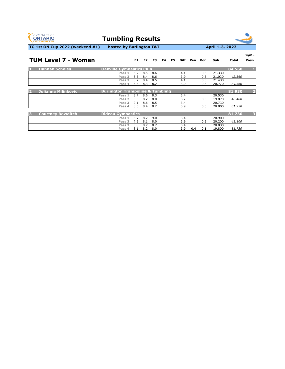| <b>GYMNASTICS</b><br><b>ONTARIO</b><br><b>SPORT STARTS HERE</b> | <b>Tumbling Results</b>                     |            |            |            |    |    |             |     |            |                  |              |                         |
|-----------------------------------------------------------------|---------------------------------------------|------------|------------|------------|----|----|-------------|-----|------------|------------------|--------------|-------------------------|
| <b>TG 1st ON Cup 2022 (weekend #1)</b>                          | hosted by Burlington T&T                    |            |            |            |    |    |             |     |            | April 1-3, 2022  |              |                         |
|                                                                 |                                             |            |            |            |    |    |             |     |            |                  |              | Page 1                  |
| <b>TUM Level 7 - Women</b>                                      |                                             | E1         | E2         | E3         | E4 | E5 | <b>Diff</b> | Pen | Bon        | <b>Sub</b>       | <b>Total</b> | Posn                    |
| <b>Hannah Scholes</b><br>D.                                     | <b>Oakville Gymnastics Club</b>             |            |            |            |    |    |             |     |            |                  | 84.560       |                         |
|                                                                 | Pass 1<br>Pass 2                            | 8.2<br>8.3 | 8.5<br>8.4 | 8.6<br>8.6 |    |    | 4.1<br>3.9  |     | 0.3<br>0.3 | 21.330<br>21.030 | 42.360       |                         |
|                                                                 | Pass 3<br>Pass 4                            | 8.7<br>8.3 | 8.4<br>8.3 | 8.5<br>8.2 |    |    | 4.1<br>3.9  |     | 0.3<br>0.3 | 21,430<br>20.770 | 84.560       |                         |
| <b>Julianna Milinkovic</b><br>$\mathcal{D}$                     | <b>Burlington Trampoline &amp; Tumbling</b> |            |            |            |    |    |             |     |            |                  | 81.930       | $\overline{2}$          |
|                                                                 | Pass 1<br>Pass 2                            | 8.7<br>8.3 | 8.6<br>8.2 | 8.3<br>8.0 |    |    | 3.4<br>3.2  |     | 0.3        | 20.530<br>19.870 | 40.400       |                         |
|                                                                 | Pass 3<br>Pass 4                            | 9.1<br>8.3 | 8.6<br>8.4 | 8.5<br>8.2 |    |    | 3.4<br>3.9  |     | 0.3        | 20.730<br>20.800 | 81.930       |                         |
| <b>Courtney Bowditch</b><br>13                                  | <b>Rideau Gymnastics</b>                    |            |            |            |    |    |             |     |            |                  | 81.730       | $\overline{\mathbf{3}}$ |
|                                                                 | Pass 1<br>Pass <sub>2</sub>                 | 8.7<br>7.9 | 8.7<br>8.1 | 9.0<br>8.0 |    |    | 3.4<br>3.9  |     | 0.3        | 20.900<br>20.200 | 41.100       |                         |
|                                                                 | Pass 3<br>Pass 4                            | 8.8<br>8.1 | 8.7<br>8.2 | 8.7<br>8.0 |    |    | 3.4<br>3.9  | 0.4 | 0.1        | 20.830<br>19.800 | 81.730       |                         |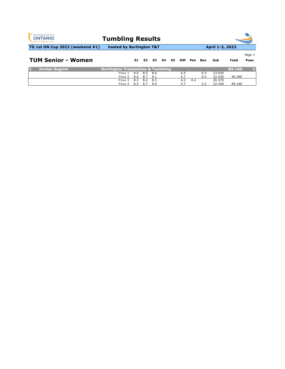**Pass 3** 8.3 8.2 8.3 4.2 0.4 20.370

| <b>GYMNASTICS</b><br><b>ONTARIO</b><br><b>SPORT STARTS HERE</b> | <b>Tumbling Results</b>                     |                      |            |                |  |            |              |            |                  |              |                |
|-----------------------------------------------------------------|---------------------------------------------|----------------------|------------|----------------|--|------------|--------------|------------|------------------|--------------|----------------|
| <b>TG 1st ON Cup 2022 (weekend #1)</b>                          | hosted by Burlington T&T                    |                      |            |                |  |            |              |            | April 1-3, 2022  |              |                |
| <b>TUM Senior - Women</b>                                       |                                             |                      |            | E1 E2 E3 E4 E5 |  |            | Diff Pen Bon |            | Sub              | <b>Total</b> | Page 1<br>Posn |
| <b>Jordan Sugrim</b>                                            | <b>Burlington Trampoline &amp; Tumbling</b> |                      |            |                |  |            |              |            |                  | 89.160       |                |
|                                                                 | Pass 1<br>Pass 2                            | $9.0^{\circ}$<br>8.4 | 8.0<br>8.7 | -8.6<br>9.1    |  | 6.5<br>4.7 |              | 0.3<br>0.3 | 23,930<br>22.430 | 46.360       |                |

**Pass 4** 8.5 8.7 9.0 4.7 0.3 22.430 *89.160*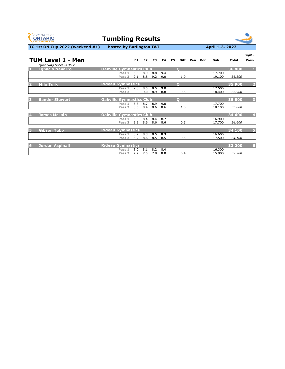| <b>GYMNASTICS</b><br><b>ONTARIO</b><br><b>SPORT STARTS HERE</b> | <b>Tumbling Results</b>         |            |                |            |            |                |              |     |            |                  |              |                         |
|-----------------------------------------------------------------|---------------------------------|------------|----------------|------------|------------|----------------|--------------|-----|------------|------------------|--------------|-------------------------|
| TG 1st ON Cup 2022 (weekend #1)                                 | hosted by Burlington T&T        |            |                |            |            |                |              |     |            | April 1-3, 2022  |              |                         |
|                                                                 |                                 |            |                |            |            |                |              |     |            |                  |              | Page 1                  |
| TUM Level 1 - Men<br>Qualifying Score is 35.7                   |                                 | E1         | E <sub>2</sub> | E3         | <b>E4</b>  | E <sub>5</sub> | <b>Diff</b>  | Pen | <b>Bon</b> | Sub              | <b>Total</b> | Posn                    |
| <b>Ignacio Navarro</b><br>и                                     | <b>Oakville Gymnastics Club</b> |            |                |            |            |                | $\mathbf O$  |     |            |                  | 36.800       |                         |
|                                                                 | Pass 1<br>Pass 2                | 8.8<br>9.1 | 8.9<br>8.8     | 8.8<br>9.2 | 9.4<br>9.0 |                | 1.0          |     |            | 17.700<br>19.100 | 36.800       |                         |
| <b>Milo Turk</b>                                                | <b>Rideau Gymnastics</b>        |            |                |            |            |                | $\mathbf{O}$ |     |            |                  | 35.900       | $\overline{2}$          |
|                                                                 | Pass 1<br>Pass 2                | 9.0<br>9.0 | 8.5<br>9.0     | 8.5<br>8.9 | 9.0<br>8.8 |                | 0.5          |     |            | 17.500<br>18.400 | 35.900       |                         |
| <b>Sander Stewert</b>                                           | <b>Oakville Gymnastics Club</b> |            |                |            |            |                | $\mathbf{O}$ |     |            |                  | 35.800       | 3                       |
|                                                                 | Pass 1<br>Pass 2                | 8.8<br>8.5 | 8.7<br>8.4     | 8.9<br>8.6 | 9.0<br>8.6 |                | 1.0          |     |            | 17.700<br>18.100 | 35.800       |                         |
| <b>James McLain</b>                                             | <b>Oakville Gymnastics Club</b> |            |                |            |            |                |              |     |            |                  | 34.600       | $\overline{\mathbf{4}}$ |
|                                                                 | Pass 1<br>Pass <sub>2</sub>     | 8.5<br>8.8 | 8.4<br>8.6     | 8.4<br>8.6 | 8.7<br>8.6 |                | 0.5          |     |            | 16,900<br>17.700 | 34.600       |                         |
| <b>Gibson Tubb</b>                                              | <b>Rideau Gymnastics</b>        |            |                |            |            |                |              |     |            |                  | 34.100       | $\overline{5}$          |
|                                                                 | Pass 1<br>Pass 2                | 8.2<br>8.2 | 8.3<br>8.6     | 8.5<br>8.5 | 8.3<br>8.5 |                | 0.5          |     |            | 16,600<br>17.500 | 34.100       |                         |
| <b>Jordan Aspinall</b>                                          | <b>Rideau Gymnastics</b>        |            |                |            |            |                |              |     |            |                  | 32.200       | $6\phantom{a}$          |
|                                                                 | Pass 1<br>Pass 2                | 8.0<br>7.7 | 8.1<br>7.5     | 8.2<br>7.8 | 8.4<br>8.0 |                | 0.4          |     |            | 16.300<br>15.900 | 32.200       |                         |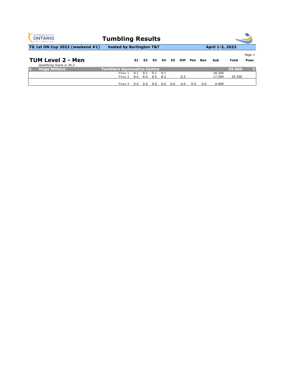| <b>GYMNASTICS</b><br><b>ONTARIO</b><br><b>SPORT STARTS HERE</b> | <b>Tumbling Results</b>           |            |            |            |            |     |             |     |     |                  |        |                |
|-----------------------------------------------------------------|-----------------------------------|------------|------------|------------|------------|-----|-------------|-----|-----|------------------|--------|----------------|
| TG 1st ON Cup 2022 (weekend #1)                                 | hosted by Burlington T&T          |            |            |            |            |     |             |     |     | April 1-3, 2022  |        |                |
| <b>TUM Level 2 - Men</b><br>Qualifying Score is 36.2            |                                   | E1.        | E2         | E3         | E4         | E5  | <b>Diff</b> | Pen | Bon | Sub              | Total  | Page 1<br>Posn |
| <b>Hugo Millaire</b>                                            | <b>Tumblers Gymnastics Centre</b> |            |            |            |            |     |             |     |     |                  | 35.500 |                |
|                                                                 | Pass 1<br>Pass 2                  | 9.1<br>8.4 | 9.1<br>8.4 | 9.1<br>8.5 | 9.1<br>8.2 |     | 0.5         |     |     | 18.200<br>17.300 | 35.500 |                |
|                                                                 | Pass 4                            | 0.0        | 0.0        | 0.0        | 0.0        | 0.0 | 0.0         | 0.0 | 0.0 | 0.000            |        |                |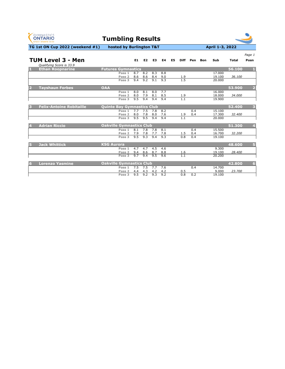**Pass 2** 4.4 4.3 4.2 4.2 0.5 9.000 *23.700*

| <b>GYMNASTICS</b><br><b>ONTARIO</b><br><b>SPORT STARTS HERE</b> | <b>Tumbling Results</b>                          |                                |                                |                   |                                |                |                                |                   |            |                            |                  |                |
|-----------------------------------------------------------------|--------------------------------------------------|--------------------------------|--------------------------------|-------------------|--------------------------------|----------------|--------------------------------|-------------------|------------|----------------------------|------------------|----------------|
| TG 1st ON Cup 2022 (weekend #1)                                 | hosted by Burlington T&T                         |                                |                                |                   |                                |                |                                |                   |            | April 1-3, 2022            |                  |                |
|                                                                 |                                                  |                                |                                |                   |                                |                |                                |                   |            |                            |                  | Page 1         |
| <b>TUM Level 3 - Men</b><br>Qualifying Score is 33.9            |                                                  | E1                             | E2                             | E <sub>3</sub>    | <b>E4</b>                      | E <sub>5</sub> | <b>Diff</b>                    | Pen               | <b>Bon</b> | Sub                        | <b>Total</b>     | Posn           |
| <b>Ethan Roopnarine</b>                                         | <b>Futures Gymnastics</b>                        |                                |                                |                   |                                |                |                                |                   |            |                            | 56.100           | П.             |
|                                                                 | Pass 1<br>Pass <sub>2</sub><br>Pass 3            | 8.7<br>8.6<br>9.4              | 8.2<br>8.6<br>9.2              | 8.3<br>8.4<br>9.1 | 8.8<br>9.0<br>9.3              |                | 1.9<br>1.5                     |                   |            | 17.000<br>19.100<br>20.000 | 36.100           |                |
|                                                                 |                                                  |                                |                                |                   |                                |                |                                |                   |            |                            |                  |                |
| <b>Tayshaun Forbes</b>                                          | <b>OAA</b>                                       |                                |                                |                   |                                |                |                                |                   |            |                            | 53.900           |                |
|                                                                 | Pass 1<br>Pass 2<br>Pass 3                       | 8.0<br>8.0<br>9.5              | 8.1<br>7.9<br>9.4              | 8.0<br>8.1<br>9.4 | 7.7<br>8.5<br>9.4              |                | $\frac{1.9}{1.1}$              |                   |            | 16.000<br>18.000<br>19.900 | 34.000           |                |
| <b>Felix-Antoine Robitaille</b><br>3                            | <b>Quinte Bay Gymnastics Club</b>                |                                |                                |                   |                                |                |                                |                   |            |                            | 52.400           | 3              |
|                                                                 | Pass <sub>1</sub><br>Pass <sub>2</sub><br>Pass 3 | 7.7<br>8.0<br>9.5              | 7.5<br>7.8<br>9.5              | 7.8<br>8.0<br>9.4 | $\overline{8.2}$<br>7.6<br>9.4 |                | 1.9<br>1.1                     | 0.4<br>0.4        |            | 15.100<br>17.300<br>20.000 | 32.400           |                |
| <b>Adrian Riccio</b>                                            | <b>Oakville Gymnastics Club</b>                  |                                |                                |                   |                                |                |                                |                   |            |                            | 51.300           | 4              |
|                                                                 | Pass 1<br>Pass <sub>2</sub><br>Pass 3            | $\overline{8.1}$<br>7.9<br>9.5 | 7.8<br>7.8<br>9.3              | 7.8<br>7.7<br>9.4 | 8.1<br>7.8<br>9.3              |                | 1.5<br>0.8                     | 0.4<br>0.4<br>0.4 |            | 15.500<br>16.700<br>19.100 | 32.200           |                |
|                                                                 |                                                  |                                |                                |                   |                                |                |                                |                   |            |                            |                  |                |
| <b>Jack Whittick</b><br>5                                       | <b>KSG Aurora</b><br>Pass 1<br>Pass 2<br>Pass 3  | 4.7<br>9.4<br>9.7              | 4.7<br>8.6<br>$\overline{9.4}$ | 4.5<br>8.7<br>9.5 | 4.6<br>8.8<br>9.6              |                | <u>1.6</u><br>$\overline{1.1}$ |                   |            | 9.300<br>19.100<br>20.200  | 48.600<br>28.400 | $5\phantom{1}$ |
| <b>Lorenzo Yasmine</b><br>6                                     | <b>Oakville Gymnastics Club</b><br>Pass 1        | 7.5                            | 7.5                            | 7.7               | 7.6                            |                |                                | 0.4               |            | 14.700                     | 42.800           | $6\phantom{1}$ |

**Pass 3** 9.5 9.2 9.3 9.2 0.8 0.2 19.100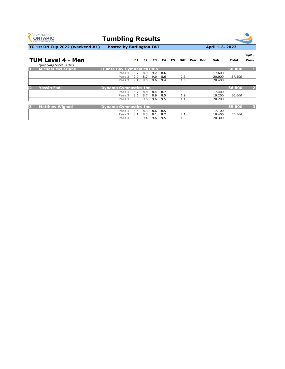|   | <b>GYMNASTICS</b><br><b>ONTARIO</b><br><b>SPORT STARTS HERE</b> | <b>Tumbling Results</b>                           |                   |                   |                   |                   |    |             |     |            |                            |                  |                         |
|---|-----------------------------------------------------------------|---------------------------------------------------|-------------------|-------------------|-------------------|-------------------|----|-------------|-----|------------|----------------------------|------------------|-------------------------|
|   | <b>TG 1st ON Cup 2022 (weekend #1)</b>                          | hosted by Burlington T&T                          |                   |                   |                   |                   |    |             |     |            | April 1-3, 2022            |                  |                         |
|   |                                                                 |                                                   |                   |                   |                   |                   |    |             |     |            |                            |                  | Page 1                  |
|   | <b>TUM Level 4 - Men</b><br>Qualifying Score is 34.1            |                                                   | E1                | E2                | E3                | E4                | E5 | <b>Diff</b> | Pen | <b>Bon</b> | Sub                        | <b>Total</b>     | Posn                    |
| П | <b>Michael McFarlane</b>                                        | <b>Quinte Bay Gymnastics Club</b>                 |                   |                   |                   |                   |    |             |     |            |                            | 58.000           |                         |
|   |                                                                 | Pass 1<br>Pass 2<br>Pass 3                        | 8.7<br>9.0<br>9.4 | 8.9<br>8.7<br>9.5 | 9.2<br>9.0<br>9.6 | 8.6<br>8.6<br>9.4 |    | 2.3<br>1.5  |     |            | 17.600<br>20.000<br>20.400 | 37.600           |                         |
|   | <b>Yassin Fadl</b>                                              | <b>Dynamo Gymnastics Inc.</b>                     |                   |                   |                   |                   |    |             |     |            |                            | 56.800           |                         |
|   |                                                                 | Pass 1<br>Pass 2<br>Pass 3                        | 8.7<br>8.6<br>9.5 | 8.8<br>8.7<br>9.6 | 8.4<br>8.9<br>9.6 | 8.7<br>8.5<br>9.5 |    | 1.9<br>1.1  |     |            | 17.400<br>19.200<br>20.200 | 36.600           |                         |
| B | <b>Matthew Wigood</b>                                           | <b>Dynamo Gymnastics Inc.</b><br>Pass 1<br>Pass 2 | 8.6<br>8.1        | 8.3<br>8.3        | 8.6<br>8.1        | 8.5<br>8.2        |    | 2.1         |     |            | 17.100<br>18.400           | 55.800<br>35.500 | $\overline{\mathbf{3}}$ |

 $\overline{\phantom{a}}$ 

**Pass 3** 9.5 9.4 9.6 9.5 1.3 20.300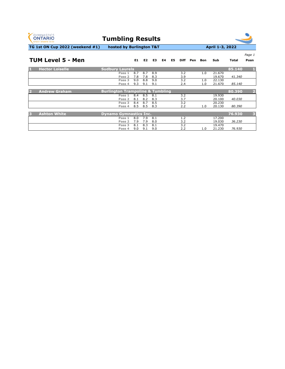**Pass 4** 9.0 9.1 9.0 2.2 1.0 21.230 *76.930*

| <b>GYMNASTICS</b><br><b>ONTARIO</b><br><b>SPORT STARTS HERE</b> | <b>Tumbling Results</b>                     |     |     |     |    |    |                  |     |     |                 |              |                         |
|-----------------------------------------------------------------|---------------------------------------------|-----|-----|-----|----|----|------------------|-----|-----|-----------------|--------------|-------------------------|
| TG 1st ON Cup 2022 (weekend #1)                                 | hosted by Burlington T&T                    |     |     |     |    |    |                  |     |     | April 1-3, 2022 |              |                         |
|                                                                 |                                             |     |     |     |    |    |                  |     |     |                 |              | Page 1                  |
| <b>TUM Level 5 - Men</b>                                        |                                             | E1  | E2  | E3  | E4 | E5 | <b>Diff</b>      | Pen | Bon | <b>Sub</b>      | <b>Total</b> | Posn                    |
| <b>Hector Loiselle</b>                                          | <b>Sudbury Laurels</b>                      |     |     |     |    |    |                  |     |     |                 | 85.140       |                         |
|                                                                 | Pass 1                                      | 8.7 | 8.7 | 8.9 |    |    | 3.2              |     | 1.0 | 21.670          |              |                         |
|                                                                 | Pass 2                                      | 7.8 | 7.8 | 8.3 |    |    | 3.9              |     |     | 19.670          | 41.340       |                         |
|                                                                 | Pass 3                                      | 9.0 | 8.8 | 9.0 |    |    | $\overline{3.2}$ |     | 1.0 | 22.130          |              |                         |
|                                                                 | Pass 4                                      | 9.3 | 9.1 | 9.1 |    |    | 2.4              |     | 1.0 | 21.670          | 85.140       |                         |
| <b>Andrew Graham</b>                                            | <b>Burlington Trampoline &amp; Tumbling</b> |     |     |     |    |    |                  |     |     |                 | 80.390       | $\overline{2}$          |
|                                                                 | Pass 1                                      | 8.4 | 8.5 | 8.1 |    |    | 3.2              |     |     | 19.930          |              |                         |
|                                                                 | Pass 2                                      | 8.1 | 8.2 | 8.3 |    |    | 3.7              |     |     | 20.100          | 40.030       |                         |
|                                                                 | Pass 3                                      | 8.4 | 8.7 | 8.5 |    |    | 3.2              |     |     | 20.230          |              |                         |
|                                                                 | Pass 4                                      | 8.5 | 8.5 | 8.3 |    |    | 2.2              |     | 1.0 | 20.130          | 80.390       |                         |
| <b>Ashton White</b><br>B                                        | <b>Dynamo Gymnastics Inc.</b>               |     |     |     |    |    |                  |     |     |                 | 76.930       | $\overline{\mathbf{3}}$ |
|                                                                 | Pass 1                                      | 8.0 | 7.9 | 8.1 |    |    | 1.2              |     |     | 17.200          |              |                         |
|                                                                 | Pass <sub>2</sub>                           | 7.9 | 7.9 | 8.0 |    |    | 3.2              |     |     | 19.030          | 36.230       |                         |
|                                                                 | Pass 3                                      | 8.1 | 8.3 | 8.1 |    |    | 3.2              |     |     | 19.470          |              |                         |
|                                                                 | Pass 4                                      | 9.0 | 9.1 | 9.0 |    |    | 2.2              |     | 1.0 | 21.230          | 76.930       |                         |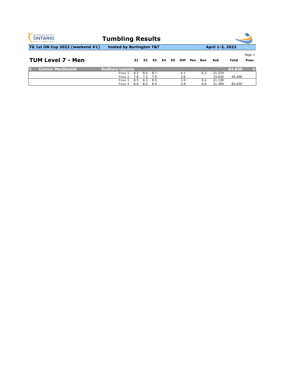| <b>GYMNASTICS</b><br><b>ONTARIO</b><br><b>SPORT STARTS HERE</b> | <b>Tumbling Results</b><br>hosted by Burlington T&T |                           |            |                 |  |                             |  |            |                            |              |                |  |  |
|-----------------------------------------------------------------|-----------------------------------------------------|---------------------------|------------|-----------------|--|-----------------------------|--|------------|----------------------------|--------------|----------------|--|--|
| TG 1st ON Cup 2022 (weekend #1)                                 |                                                     |                           |            | April 1-3, 2022 |  |                             |  |            |                            |              |                |  |  |
| <b>TUM Level 7 - Men</b>                                        |                                                     |                           |            |                 |  | E1 E2 E3 E4 E5 Diff Pen Bon |  |            | Sub                        | <b>Total</b> | Page 1<br>Posn |  |  |
| <b>Connor MacDonald</b>                                         | <b>Sudbury Laurels</b>                              |                           |            |                 |  |                             |  |            |                            | 82.830       |                |  |  |
|                                                                 | Pass 1<br>7.8<br>Pass 2<br>Pass 3<br>8.5            | 8.2 8.5 8.7<br>7.2<br>8.3 | 7.9<br>8.5 |                 |  | 4.1<br>3.6<br>3.9           |  | 0.3<br>0.3 | 21.370<br>19.030<br>21.130 | 40.400       |                |  |  |

**Pass 4** 8.6 8.2 8.4 3.9 0.6 21.300 *82.830*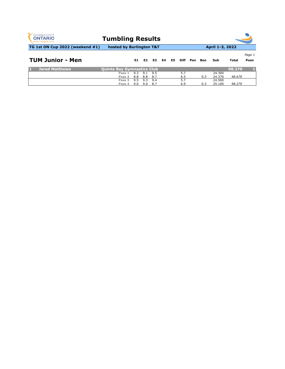| <b>GYMNASTICS</b><br><b>ONTARIO</b><br><b>SPORT STARTS HERE</b> | <b>Tumbling Results</b>    |     |     |     |    |    |             |     |     |                 |              |                |
|-----------------------------------------------------------------|----------------------------|-----|-----|-----|----|----|-------------|-----|-----|-----------------|--------------|----------------|
| <b>TG 1st ON Cup 2022 (weekend #1)</b>                          | hosted by Burlington T&T   |     |     |     |    |    |             |     |     | April 1-3, 2022 |              |                |
| <b>TUM Junior - Men</b>                                         |                            | E1  | E2  | E3  | E4 | E5 | <b>Diff</b> | Pen | Bon | Sub             | <b>Total</b> | Page 1<br>Posn |
| <b>Jared Matthews</b>                                           | Quinte Bay Gymnastics Club |     |     |     |    |    |             |     |     |                 | 98.270       |                |
|                                                                 | Pass 1                     | 9.3 | 9.1 | 9.5 |    |    | 5.7         |     |     | 24.300          |              |                |
|                                                                 | Pass 2                     | 8.8 | 8.8 | 8.7 |    |    | 6.5         |     | 0.3 | 24.370          | 48.670       |                |
|                                                                 | Pass 3                     | 9.5 | 9.3 | 9.4 |    |    | 5.7         |     |     | 24.500          |              |                |
|                                                                 | Pass 4                     | 9.0 | 9.0 | 8.7 |    |    | 6.9         |     | 0.3 | 25.100          | 98,270       |                |